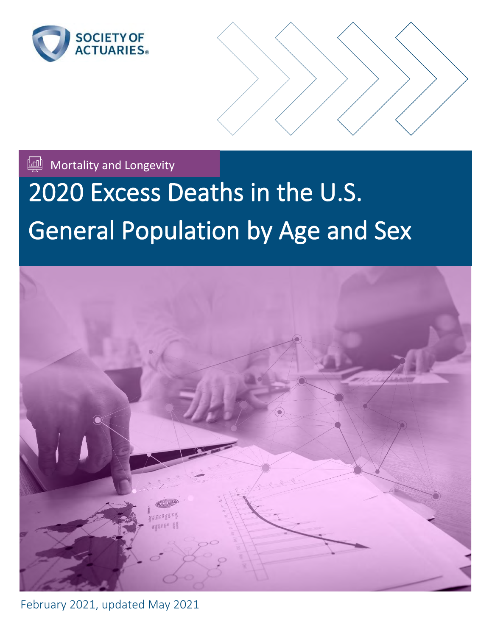



**s** Mortality and Longevity

# 2020 Excess Deaths in the U.S. General Population by Age and Sex



February 2021, updated May 2021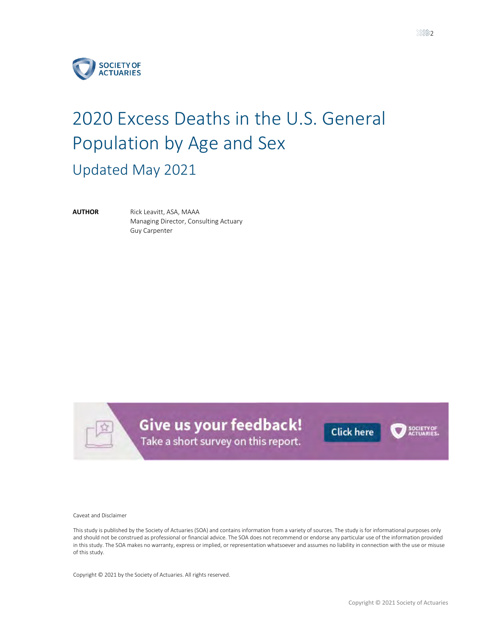

# 2020 Excess Deaths in the U.S. General Population by Age and Sex

Updated May 2021

**AUTHOR** Rick Leavitt, ASA, MAAA Managing Director, Consulting Actuary Guy Carpenter

Give us your feedback! Take a short survey on this report.

**Click here** 

SOCIETY OF<br>ACTUARIES

Caveat and Disclaimer

This study is published by the Society of Actuaries (SOA) and contains information from a variety of sources. The study is for informational purposes only and should not be construed as professional or financial advice. The SOA does not recommend or endorse any particular use of the information provided in this study. The SOA makes no warranty, express or implied, or representation whatsoever and assumes no liability in connection with the use or misuse of this study.

Copyright © 2021 by the Society of Actuaries. All rights reserved.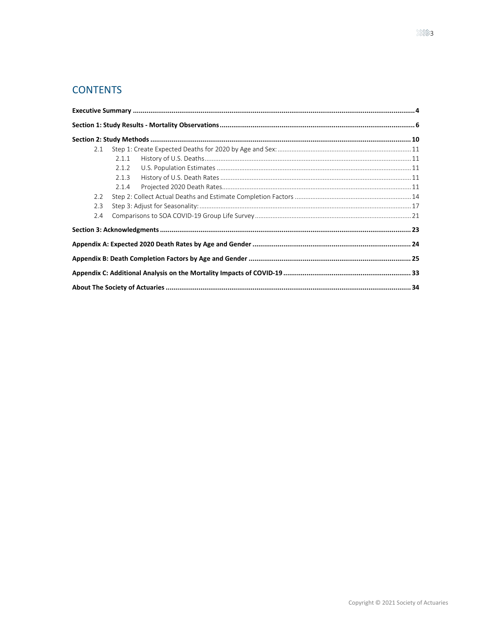## **CONTENTS**

| 2.1 |       |  |
|-----|-------|--|
|     | 2.1.1 |  |
|     | 2.1.2 |  |
|     | 2.1.3 |  |
|     | 2.1.4 |  |
| 2.2 |       |  |
| 2.3 |       |  |
| 2.4 |       |  |
|     |       |  |
|     |       |  |
|     |       |  |
|     |       |  |
|     |       |  |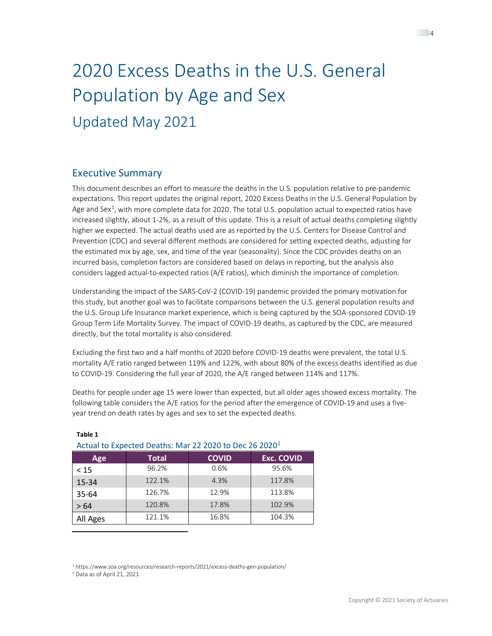## 2020 Excess Deaths in the U.S. General Population by Age and Sex Updated May 2021

### <span id="page-3-0"></span>Executive Summary

This document describes an effort to measure the deaths in the U.S. population relative to pre-pandemic expectations. This report updates the original report, 2020 Excess Deaths in the U.S. General Population by Age and Sex<sup>[1](#page-3-1)</sup>, with more complete data for 2020. The total U.S. population actual to expected ratios have increased slightly, about 1-2%, as a result of this update. This is a result of actual deaths completing slightly higher we expected. The actual deaths used are as reported by the U.S. Centers for Disease Control and Prevention (CDC) and several different methods are considered for setting expected deaths, adjusting for the estimated mix by age, sex, and time of the year (seasonality). Since the CDC provides deaths on an incurred basis, completion factors are considered based on delays in reporting, but the analysis also considers lagged actual-to-expected ratios (A/E ratios), which diminish the importance of completion.

Understanding the impact of the SARS-CoV-2 (COVID-19) pandemic provided the primary motivation for this study, but another goal was to facilitate comparisons between the U.S. general population results and the U.S. Group Life Insurance market experience, which is being captured by the SOA-sponsored COVID-19 Group Term Life Mortality Survey. The impact of COVID-19 deaths, as captured by the CDC, are measured directly, but the total mortality is also considered.

Excluding the first two and a half months of 2020 before COVID-19 deaths were prevalent, the total U.S. mortality A/E ratio ranged between 119% and 122%, with about 80% of the excess deaths identified as due to COVID-19. Considering the full year of 2020, the A/E ranged between 114% and 117%.

Deaths for people under age 15 were lower than expected, but all older ages showed excess mortality. The following table considers the A/E ratios for the period after the emergence of COVID-19 and uses a fiveyear trend on death rates by ages and sex to set the expected deaths.

| Actual to expected Deaths: Mar 22 2020 to Dec 26 2020- |              |              |                   |  |  |  |  |  |  |
|--------------------------------------------------------|--------------|--------------|-------------------|--|--|--|--|--|--|
| Age                                                    | <b>Total</b> | <b>COVID</b> | <b>Exc. COVID</b> |  |  |  |  |  |  |
| $<$ 15                                                 | 96.2%        | 0.6%         | 95.6%             |  |  |  |  |  |  |
| 15-34                                                  | 122.1%       | 4.3%         | 117.8%            |  |  |  |  |  |  |
| $35 - 64$                                              | 126.7%       | 12.9%        | 113.8%            |  |  |  |  |  |  |
| >64                                                    | 120.8%       | 17.8%        | 102.9%            |  |  |  |  |  |  |
| All Ages                                               | 121.1%       | 16.8%        | 104.3%            |  |  |  |  |  |  |

#### **Table 1**

#### Actual to Expected Deaths: Mar [2](#page-3-2)2 2020 to Dec 26 2020<sup>2</sup>

<sup>1</sup> https://www.soa.org/resources/research-reports/2021/excess-deaths-gen-population/

<span id="page-3-2"></span><span id="page-3-1"></span><sup>2</sup> Data as of April 21, 2021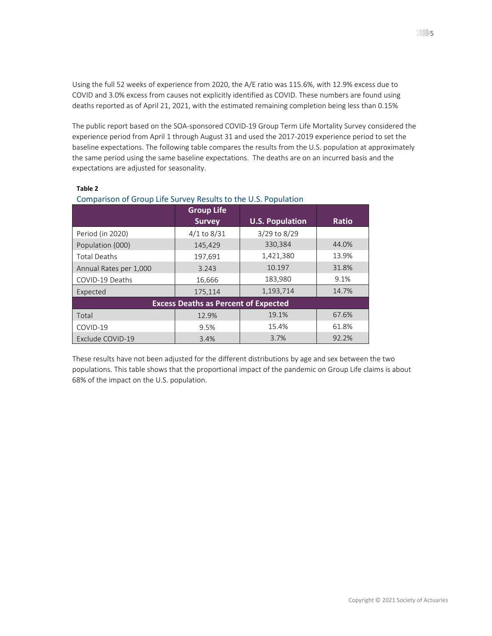Using the full 52 weeks of experience from 2020, the A/E ratio was 115.6%, with 12.9% excess due to COVID and 3.0% excess from causes not explicitly identified as COVID. These numbers are found using deaths reported as of April 21, 2021, with the estimated remaining completion being less than 0.15%

The public report based on the SOA-sponsored COVID-19 Group Term Life Mortality Survey considered the experience period from April 1 through August 31 and used the 2017-2019 experience period to set the baseline expectations. The following table compares the results from the U.S. population at approximately the same period using the same baseline expectations. The deaths are on an incurred basis and the expectations are adjusted for seasonality.

| $\cdots$ paradox $\cdots$ or order |                                             |                        |              |
|------------------------------------|---------------------------------------------|------------------------|--------------|
|                                    | <b>Group Life</b>                           |                        |              |
|                                    | <b>Survey</b>                               | <b>U.S. Population</b> | <b>Ratio</b> |
| Period (in 2020)                   | $4/1$ to 8/31                               | 3/29 to 8/29           |              |
| Population (000)                   | 145,429                                     | 330,384                | 44.0%        |
| <b>Total Deaths</b>                | 197,691                                     | 1,421,380              | 13.9%        |
| Annual Rates per 1,000             | 3.243                                       | 10.197                 | 31.8%        |
| COVID-19 Deaths                    | 16,666                                      | 183,980                | 9.1%         |
| Expected                           | 175,114                                     | 1,193,714              | 14.7%        |
|                                    | <b>Excess Deaths as Percent of Expected</b> |                        |              |
| Total                              | 12.9%                                       | 19.1%                  | 67.6%        |
| COVID-19                           | 9.5%                                        | 15.4%                  | 61.8%        |
| Exclude COVID-19                   | 3.4%                                        | 3.7%                   | 92.2%        |

#### **Table 2**

## Comparison of Group Life Survey Results to the U.S. Population

These results have not been adjusted for the different distributions by age and sex between the two populations. This table shows that the proportional impact of the pandemic on Group Life claims is about 68% of the impact on the U.S. population.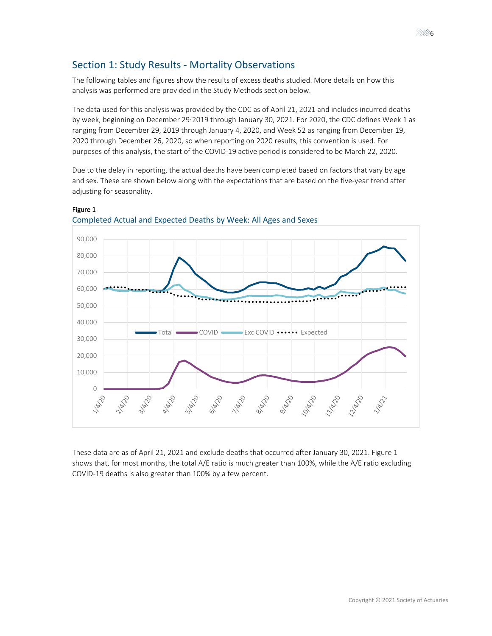## <span id="page-5-0"></span>Section 1: Study Results - Mortality Observations

The following tables and figures show the results of excess deaths studied. More details on how this analysis was performed are provided in the Study Methods section below.

The data used for this analysis was provided by the CDC as of April 21, 2021 and includes incurred deaths by week, beginning on December 29<sup>,</sup> 2019 through January 30, 2021. For 2020, the CDC defines Week 1 as ranging from December 29, 2019 through January 4, 2020, and Week 52 as ranging from December 19, 2020 through December 26, 2020, so when reporting on 2020 results, this convention is used. For purposes of this analysis, the start of the COVID-19 active period is considered to be March 22, 2020.

Due to the delay in reporting, the actual deaths have been completed based on factors that vary by age and sex. These are shown below along with the expectations that are based on the five-year trend after adjusting for seasonality.





Figure 1

These data are as of April 21, 2021 and exclude deaths that occurred after January 30, 2021. Figure 1 shows that, for most months, the total A/E ratio is much greater than 100%, while the A/E ratio excluding COVID-19 deaths is also greater than 100% by a few percent.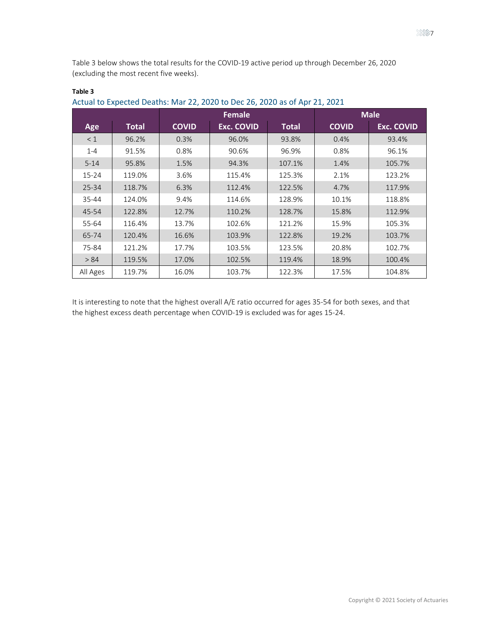Table 3 below shows the total results for the COVID-19 active period up through December 26, 2020 (excluding the most recent five weeks).

|           |              |              | Female            |              |              | <b>Male</b>       |
|-----------|--------------|--------------|-------------------|--------------|--------------|-------------------|
| Age       | <b>Total</b> | <b>COVID</b> | <b>Exc. COVID</b> | <b>Total</b> | <b>COVID</b> | <b>Exc. COVID</b> |
| < 1       | 96.2%        | 0.3%         | 96.0%             | 93.8%        | 0.4%         | 93.4%             |
| $1 - 4$   | 91.5%        | 0.8%         | 90.6%             | 96.9%        | 0.8%         | 96.1%             |
| $5 - 14$  | 95.8%        | 1.5%         | 94.3%             | 107.1%       | 1.4%         | 105.7%            |
| $15 - 24$ | 119.0%       | 3.6%         | 115.4%            | 125.3%       | 2.1%         | 123.2%            |
| $25 - 34$ | 118.7%       | 6.3%         | 112.4%            | 122.5%       | 4.7%         | 117.9%            |
| 35-44     | 124.0%       | 9.4%         | 114.6%            | 128.9%       | 10.1%        | 118.8%            |
| 45-54     | 122.8%       | 12.7%        | 110.2%            | 128.7%       | 15.8%        | 112.9%            |
| 55-64     | 116.4%       | 13.7%        | 102.6%            | 121.2%       | 15.9%        | 105.3%            |
| 65-74     | 120.4%       | 16.6%        | 103.9%            | 122.8%       | 19.2%        | 103.7%            |
| 75-84     | 121.2%       | 17.7%        | 103.5%            | 123.5%       | 20.8%        | 102.7%            |
| > 84      | 119.5%       | 17.0%        | 102.5%            | 119.4%       | 18.9%        | 100.4%            |
| All Ages  | 119.7%       | 16.0%        | 103.7%            | 122.3%       | 17.5%        | 104.8%            |

#### **Table 3**

Actual to Expected Deaths: Mar 22, 2020 to Dec 26, 2020 as of Apr 21, 2021

It is interesting to note that the highest overall A/E ratio occurred for ages 35-54 for both sexes, and that the highest excess death percentage when COVID-19 is excluded was for ages 15-24.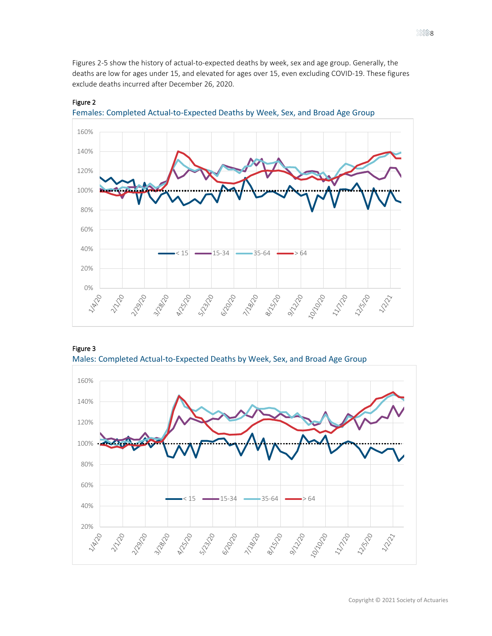Figures 2-5 show the history of actual-to-expected deaths by week, sex and age group. Generally, the deaths are low for ages under 15, and elevated for ages over 15, even excluding COVID-19. These figures exclude deaths incurred after December 26, 2020.







## Figure 2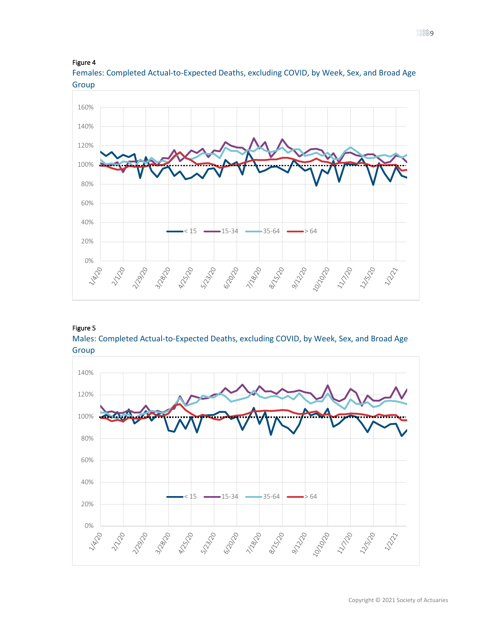#### Figure 4



Females: Completed Actual-to-Expected Deaths, excluding COVID, by Week, Sex, and Broad Age Group

#### Figure 5

Males: Completed Actual-to-Expected Deaths, excluding COVID, by Week, Sex, and Broad Age Group

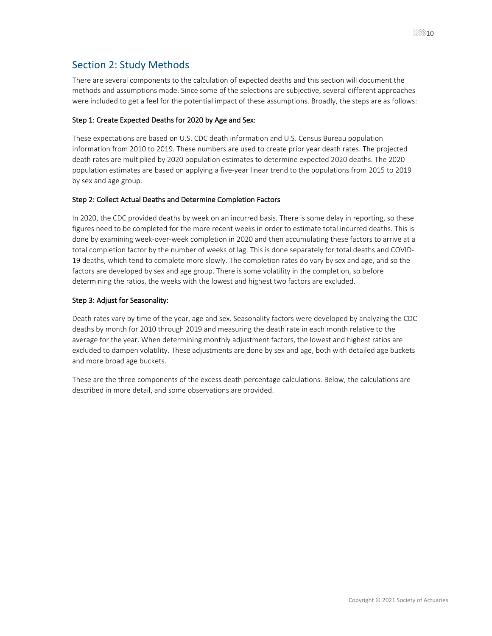## <span id="page-9-0"></span>Section 2: Study Methods

There are several components to the calculation of expected deaths and this section will document the methods and assumptions made. Since some of the selections are subjective, several different approaches were included to get a feel for the potential impact of these assumptions. Broadly, the steps are as follows:

#### Step 1: Create Expected Deaths for 2020 by Age and Sex:

These expectations are based on U.S. CDC death information and U.S. Census Bureau population information from 2010 to 2019. These numbers are used to create prior year death rates. The projected death rates are multiplied by 2020 population estimates to determine expected 2020 deaths. The 2020 population estimates are based on applying a five-year linear trend to the populations from 2015 to 2019 by sex and age group.

#### Step 2: Collect Actual Deaths and Determine Completion Factors

In 2020, the CDC provided deaths by week on an incurred basis. There is some delay in reporting, so these figures need to be completed for the more recent weeks in order to estimate total incurred deaths. This is done by examining week-over-week completion in 2020 and then accumulating these factors to arrive at a total completion factor by the number of weeks of lag. This is done separately for total deaths and COVID-19 deaths, which tend to complete more slowly. The completion rates do vary by sex and age, and so the factors are developed by sex and age group. There is some volatility in the completion, so before determining the ratios, the weeks with the lowest and highest two factors are excluded.

#### Step 3: Adjust for Seasonality:

Death rates vary by time of the year, age and sex. Seasonality factors were developed by analyzing the CDC deaths by month for 2010 through 2019 and measuring the death rate in each month relative to the average for the year. When determining monthly adjustment factors, the lowest and highest ratios are excluded to dampen volatility. These adjustments are done by sex and age, both with detailed age buckets and more broad age buckets.

These are the three components of the excess death percentage calculations. Below, the calculations are described in more detail, and some observations are provided.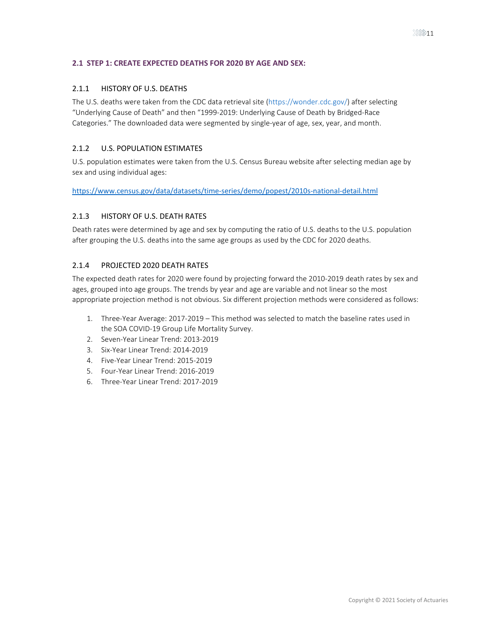#### <span id="page-10-1"></span><span id="page-10-0"></span>**2.1 STEP 1: CREATE EXPECTED DEATHS FOR 2020 BY AGE AND SEX:**

#### 2.1.1 HISTORY OF U.S. DEATHS

The U.S. deaths were taken from the CDC data retrieval site [\(https://wonder.cdc.gov/\)](https://wonder.cdc.gov/) after selecting "Underlying Cause of Death" and then "1999-2019: Underlying Cause of Death by [Bridged-Race](https://wonder.cdc.gov/ucd-icd10.html) [Categories.](https://wonder.cdc.gov/ucd-icd10.html)" The downloaded data were segmented by single-year of age, sex, year, and month.

#### <span id="page-10-2"></span>2.1.2 U.S. POPULATION ESTIMATES

U.S. population estimates were taken from the U.S. Census Bureau website after selecting median age by sex and using individual ages:

<https://www.census.gov/data/datasets/time-series/demo/popest/2010s-national-detail.html>

#### <span id="page-10-3"></span>2.1.3 HISTORY OF U.S. DEATH RATES

Death rates were determined by age and sex by computing the ratio of U.S. deaths to the U.S. population after grouping the U.S. deaths into the same age groups as used by the CDC for 2020 deaths.

#### <span id="page-10-4"></span>2.1.4 PROJECTED 2020 DEATH RATES

The expected death rates for 2020 were found by projecting forward the 2010-2019 death rates by sex and ages, grouped into age groups. The trends by year and age are variable and not linear so the most appropriate projection method is not obvious. Six different projection methods were considered as follows:

- 1. Three-Year Average: 2017-2019 This method was selected to match the baseline rates used in the SOA COVID-19 Group Life Mortality Survey.
- 2. Seven-Year Linear Trend: 2013-2019
- 3. Six-Year Linear Trend: 2014-2019
- 4. Five-Year Linear Trend: 2015-2019
- 5. Four-Year Linear Trend: 2016-2019
- 6. Three-Year Linear Trend: 2017-2019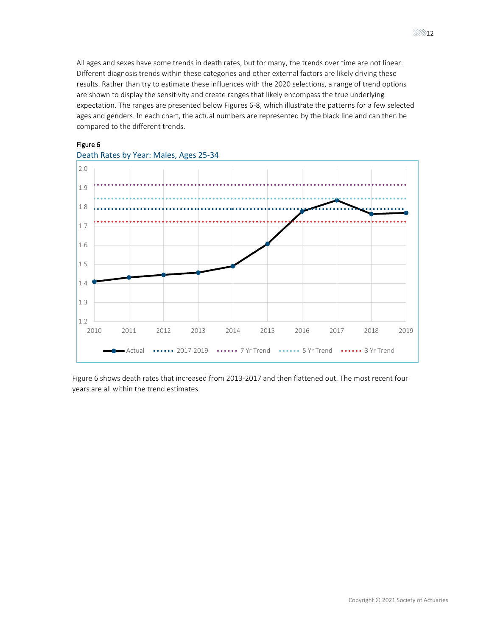All ages and sexes have some trends in death rates, but for many, the trends over time are not linear. Different diagnosis trends within these categories and other external factors are likely driving these results. Rather than try to estimate these influences with the 2020 selections, a range of trend options are shown to display the sensitivity and create ranges that likely encompass the true underlying expectation. The ranges are presented below Figures 6-8, which illustrate the patterns for a few selected ages and genders. In each chart, the actual numbers are represented by the black line and can then be compared to the different trends.



#### Figure 6

Figure 6 shows death rates that increased from 2013-2017 and then flattened out. The most recent four years are all within the trend estimates.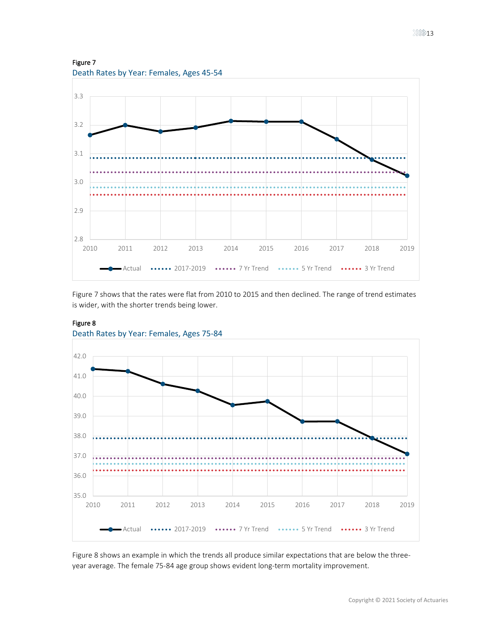

Figure 7 Death Rates by Year: Females, Ages 45-54

Figure 7 shows that the rates were flat from 2010 to 2015 and then declined. The range of trend estimates is wider, with the shorter trends being lower.



## Death Rates by Year: Females, Ages 75-84

Figure 8

Figure 8 shows an example in which the trends all produce similar expectations that are below the threeyear average. The female 75-84 age group shows evident long-term mortality improvement.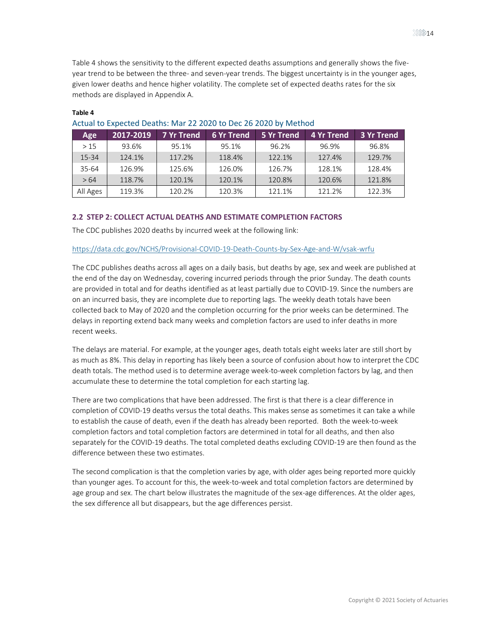Table 4 shows the sensitivity to the different expected deaths assumptions and generally shows the fiveyear trend to be between the three- and seven-year trends. The biggest uncertainty is in the younger ages, given lower deaths and hence higher volatility. The complete set of expected deaths rates for the six methods are displayed in Appendix A.

| Age       | 2017-2019 | <b>7 Yr Trend</b> | <b>6 Yr Trend</b> | 5 Yr Trend | 4 Yr Trend | 3 Yr Trend |
|-----------|-----------|-------------------|-------------------|------------|------------|------------|
| >15       | 93.6%     | 95.1%             | 95.1%             | 96.2%      | 96.9%      | 96.8%      |
| 15-34     | 124.1%    | 117.2%            | 118.4%            | 122.1%     | 127.4%     | 129.7%     |
| $35 - 64$ | 126.9%    | 125.6%            | 126.0%            | 126.7%     | 128.1%     | 128.4%     |
| >64       | 118.7%    | 120.1%            | 120.1%            | 120.8%     | 120.6%     | 121.8%     |
| All Ages  | 119.3%    | 120.2%            | 120.3%            | 121.1%     | 121.2%     | 122.3%     |

#### **Table 4**

#### Actual to Expected Deaths: Mar 22 2020 to Dec 26 2020 by Method

#### <span id="page-13-0"></span>**2.2 STEP 2: COLLECT ACTUAL DEATHS AND ESTIMATE COMPLETION FACTORS**

The CDC publishes 2020 deaths by incurred week at the following link:

#### <https://data.cdc.gov/NCHS/Provisional-COVID-19-Death-Counts-by-Sex-Age-and-W/vsak-wrfu>

The CDC publishes deaths across all ages on a daily basis, but deaths by age, sex and week are published at the end of the day on Wednesday, covering incurred periods through the prior Sunday. The death counts are provided in total and for deaths identified as at least partially due to COVID-19. Since the numbers are on an incurred basis, they are incomplete due to reporting lags. The weekly death totals have been collected back to May of 2020 and the completion occurring for the prior weeks can be determined. The delays in reporting extend back many weeks and completion factors are used to infer deaths in more recent weeks.

The delays are material. For example, at the younger ages, death totals eight weeks later are still short by as much as 8%. This delay in reporting has likely been a source of confusion about how to interpret the CDC death totals. The method used is to determine average week-to-week completion factors by lag, and then accumulate these to determine the total completion for each starting lag.

There are two complications that have been addressed. The first is that there is a clear difference in completion of COVID-19 deaths versus the total deaths. This makes sense as sometimes it can take a while to establish the cause of death, even if the death has already been reported. Both the week-to-week completion factors and total completion factors are determined in total for all deaths, and then also separately for the COVID-19 deaths. The total completed deaths excluding COVID-19 are then found as the difference between these two estimates.

The second complication is that the completion varies by age, with older ages being reported more quickly than younger ages. To account for this, the week-to-week and total completion factors are determined by age group and sex. The chart below illustrates the magnitude of the sex-age differences. At the older ages, the sex difference all but disappears, but the age differences persist.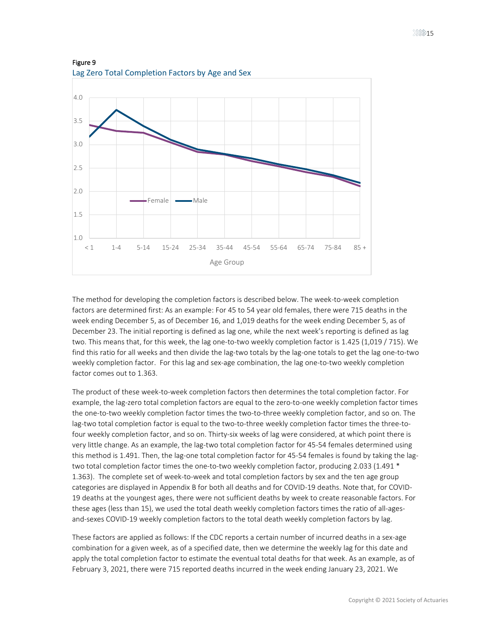



The method for developing the completion factors is described below. The week-to-week completion factors are determined first: As an example: For 45 to 54 year old females, there were 715 deaths in the week ending December 5, as of December 16, and 1,019 deaths for the week ending December 5, as of December 23. The initial reporting is defined as lag one, while the next week's reporting is defined as lag two. This means that, for this week, the lag one-to-two weekly completion factor is 1.425 (1,019 / 715). We find this ratio for all weeks and then divide the lag-two totals by the lag-one totals to get the lag one-to-two weekly completion factor. For this lag and sex-age combination, the lag one-to-two weekly completion factor comes out to 1.363.

The product of these week-to-week completion factors then determines the total completion factor. For example, the lag-zero total completion factors are equal to the zero-to-one weekly completion factor times the one-to-two weekly completion factor times the two-to-three weekly completion factor, and so on. The lag-two total completion factor is equal to the two-to-three weekly completion factor times the three-tofour weekly completion factor, and so on. Thirty-six weeks of lag were considered, at which point there is very little change. As an example, the lag-two total completion factor for 45-54 females determined using this method is 1.491. Then, the lag-one total completion factor for 45-54 females is found by taking the lagtwo total completion factor times the one-to-two weekly completion factor, producing 2.033 (1.491 \* 1.363). The complete set of week-to-week and total completion factors by sex and the ten age group categories are displayed in Appendix B for both all deaths and for COVID-19 deaths. Note that, for COVID-19 deaths at the youngest ages, there were not sufficient deaths by week to create reasonable factors. For these ages (less than 15), we used the total death weekly completion factors times the ratio of all-agesand-sexes COVID-19 weekly completion factors to the total death weekly completion factors by lag.

These factors are applied as follows: If the CDC reports a certain number of incurred deaths in a sex-age combination for a given week, as of a specified date, then we determine the weekly lag for this date and apply the total completion factor to estimate the eventual total deaths for that week. As an example, as of February 3, 2021, there were 715 reported deaths incurred in the week ending January 23, 2021. We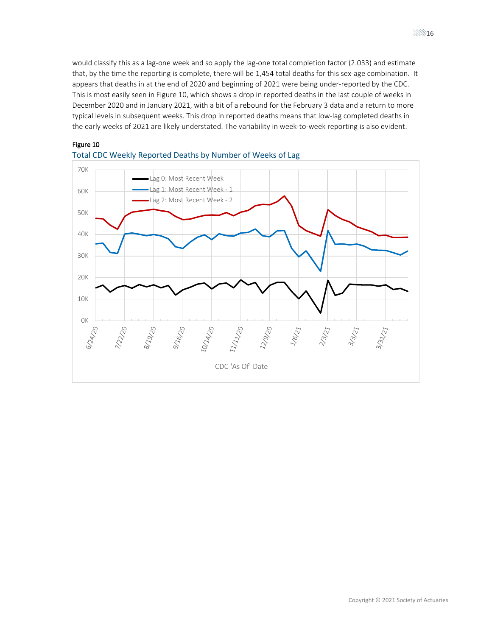would classify this as a lag-one week and so apply the lag-one total completion factor (2.033) and estimate that, by the time the reporting is complete, there will be 1,454 total deaths for this sex-age combination. It appears that deaths in at the end of 2020 and beginning of 2021 were being under-reported by the CDC. This is most easily seen in Figure 10, which shows a drop in reported deaths in the last couple of weeks in December 2020 and in January 2021, with a bit of a rebound for the February 3 data and a return to more typical levels in subsequent weeks. This drop in reported deaths means that low-lag completed deaths in the early weeks of 2021 are likely understated. The variability in week-to-week reporting is also evident.



#### Figure 10 Total CDC Weekly Reported Deaths by Number of Weeks of Lag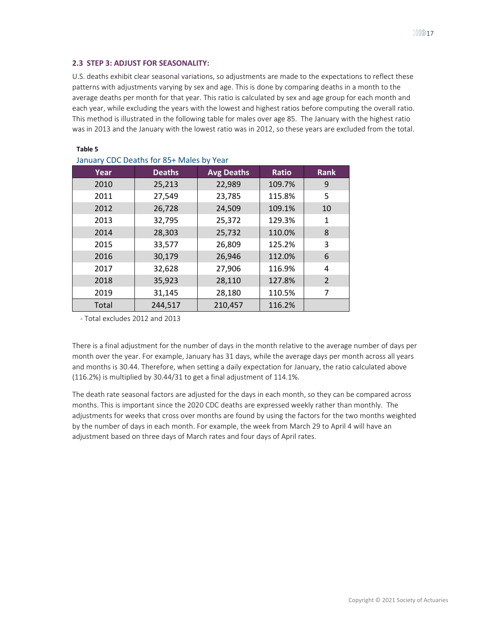#### <span id="page-16-0"></span>**2.3 STEP 3: ADJUST FOR SEASONALITY:**

U.S. deaths exhibit clear seasonal variations, so adjustments are made to the expectations to reflect these patterns with adjustments varying by sex and age. This is done by comparing deaths in a month to the average deaths per month for that year. This ratio is calculated by sex and age group for each month and each year, while excluding the years with the lowest and highest ratios before computing the overall ratio. This method is illustrated in the following table for males over age 85. The January with the highest ratio was in 2013 and the January with the lowest ratio was in 2012, so these years are excluded from the total.

| January CDC Deaths for 85+ Males by Year |               |                   |              |             |  |  |  |  |
|------------------------------------------|---------------|-------------------|--------------|-------------|--|--|--|--|
| Year                                     | <b>Deaths</b> | <b>Avg Deaths</b> | <b>Ratio</b> | <b>Rank</b> |  |  |  |  |
| 2010                                     | 25,213        | 22,989            | 109.7%       | 9           |  |  |  |  |
| 2011                                     | 27,549        | 23,785            | 115.8%       | 5           |  |  |  |  |
| 2012                                     | 26,728        | 24,509            | 109.1%       | 10          |  |  |  |  |
| 2013                                     | 32,795        | 25,372            | 129.3%       | 1           |  |  |  |  |
| 2014                                     | 28,303        | 25,732            | 110.0%       | 8           |  |  |  |  |
| 2015                                     | 33,577        | 26,809            | 125.2%       | 3           |  |  |  |  |
| 2016                                     | 30,179        | 26,946            | 112.0%       | 6           |  |  |  |  |
| 2017                                     | 32,628        | 27,906            | 116.9%       | 4           |  |  |  |  |
| 2018                                     | 35,923        | 28,110            | 127.8%       | 2           |  |  |  |  |
| 2019                                     | 31,145        | 28,180            | 110.5%       | 7           |  |  |  |  |
| Total                                    | 244,517       | 210,457           | 116.2%       |             |  |  |  |  |

#### **Table 5**

- Total excludes 2012 and 2013

There is a final adjustment for the number of days in the month relative to the average number of days per month over the year. For example, January has 31 days, while the average days per month across all years and months is 30.44. Therefore, when setting a daily expectation for January, the ratio calculated above (116.2%) is multiplied by 30.44/31 to get a final adjustment of 114.1%.

The death rate seasonal factors are adjusted for the days in each month, so they can be compared across months. This is important since the 2020 CDC deaths are expressed weekly rather than monthly. The adjustments for weeks that cross over months are found by using the factors for the two months weighted by the number of days in each month. For example, the week from March 29 to April 4 will have an adjustment based on three days of March rates and four days of April rates.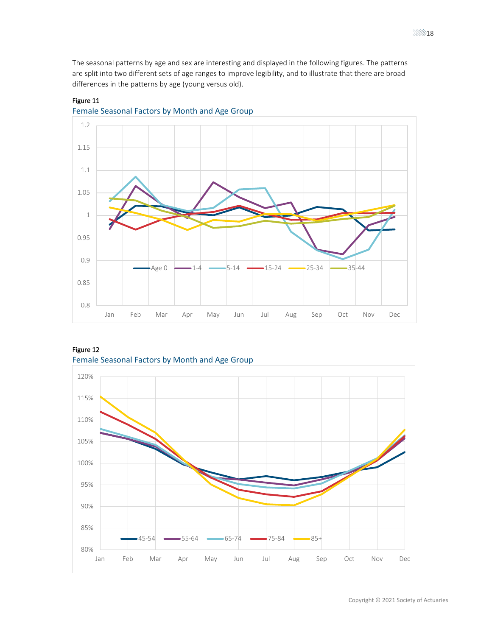The seasonal patterns by age and sex are interesting and displayed in the following figures. The patterns are split into two different sets of age ranges to improve legibility, and to illustrate that there are broad differences in the patterns by age (young versus old).



Figure 11 Female Seasonal Factors by Month and Age Group



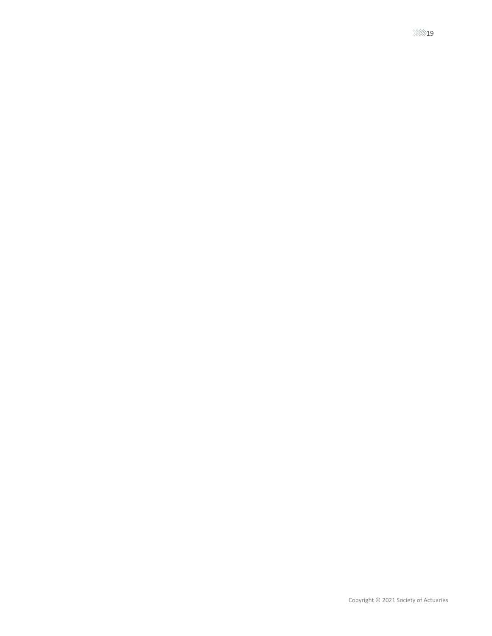#### $2222$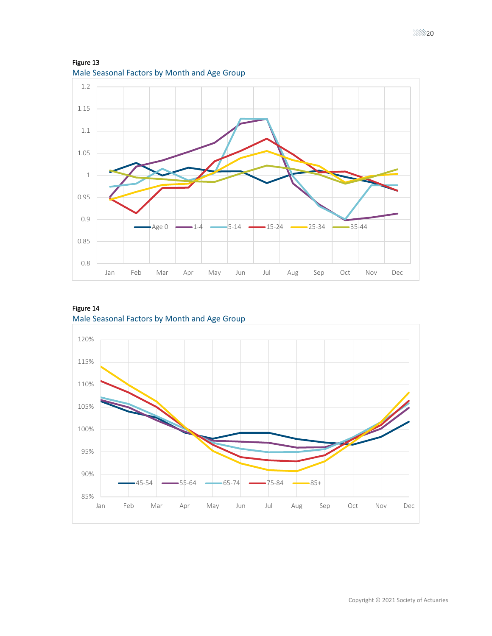

Figure 13 Male Seasonal Factors by Month and Age Group

#### Figure 14 Male Seasonal Factors by Month and Age Group

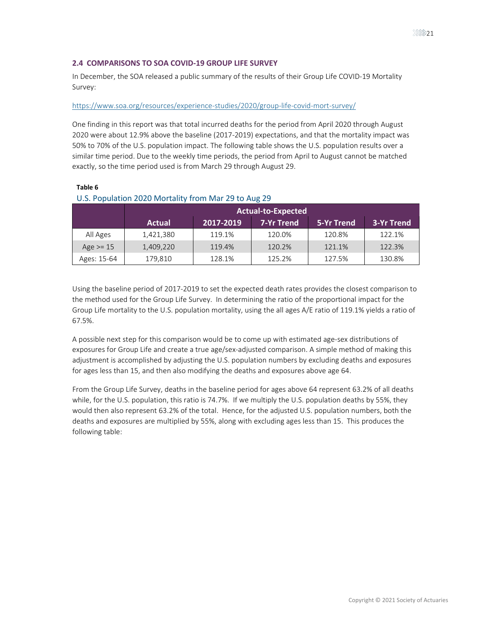#### <span id="page-20-0"></span>**2.4 COMPARISONS TO SOA COVID-19 GROUP LIFE SURVEY**

In December, the SOA released a public summary of the results of their Group Life COVID-19 Mortality Survey:

#### <https://www.soa.org/resources/experience-studies/2020/group-life-covid-mort-survey/>

One finding in this report was that total incurred deaths for the period from April 2020 through August 2020 were about 12.9% above the baseline (2017-2019) expectations, and that the mortality impact was 50% to 70% of the U.S. population impact. The following table shows the U.S. population results over a similar time period. Due to the weekly time periods, the period from April to August cannot be matched exactly, so the time period used is from March 29 through August 29.

| 0.0. TO DATA COLORED THOT CATLY THOM THICK LOTING LOT |                           |               |            |                   |            |  |  |  |  |
|-------------------------------------------------------|---------------------------|---------------|------------|-------------------|------------|--|--|--|--|
|                                                       | <b>Actual-to-Expected</b> |               |            |                   |            |  |  |  |  |
|                                                       | <b>Actual</b>             | $2017 - 2019$ | 7-Yr Trend | <b>5-Yr Trend</b> | 3-Yr Trend |  |  |  |  |
| All Ages                                              | 1,421,380                 | 119.1%        | 120.0%     | 120.8%            | 122.1%     |  |  |  |  |
| Age $>= 15$                                           | 1,409,220                 | 119.4%        | 120.2%     | 121.1%            | 122.3%     |  |  |  |  |
| Ages: 15-64                                           | 179,810                   | 128.1%        | 125.2%     | 127.5%            | 130.8%     |  |  |  |  |

#### **Table 6**

### U.S. Population 2020 Mortality from Mar 29 to Aug 29

Using the baseline period of 2017-2019 to set the expected death rates provides the closest comparison to the method used for the Group Life Survey. In determining the ratio of the proportional impact for the Group Life mortality to the U.S. population mortality, using the all ages A/E ratio of 119.1% yields a ratio of 67.5%.

A possible next step for this comparison would be to come up with estimated age-sex distributions of exposures for Group Life and create a true age/sex-adjusted comparison. A simple method of making this adjustment is accomplished by adjusting the U.S. population numbers by excluding deaths and exposures for ages less than 15, and then also modifying the deaths and exposures above age 64.

From the Group Life Survey, deaths in the baseline period for ages above 64 represent 63.2% of all deaths while, for the U.S. population, this ratio is 74.7%. If we multiply the U.S. population deaths by 55%, they would then also represent 63.2% of the total. Hence, for the adjusted U.S. population numbers, both the deaths and exposures are multiplied by 55%, along with excluding ages less than 15. This produces the following table: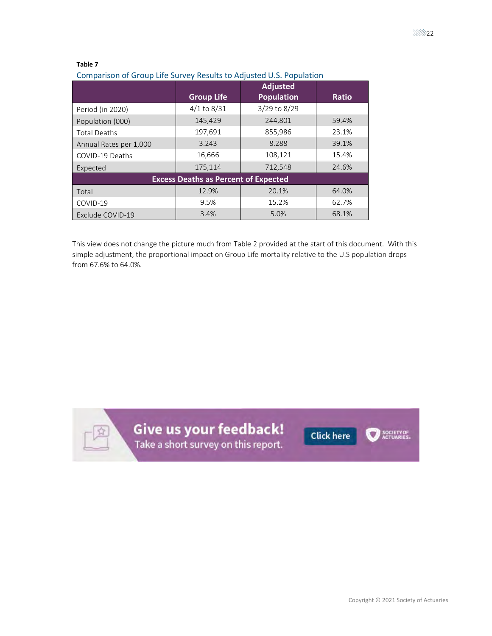#### **Table 7**

#### Comparison of Group Life Survey Results to Adjusted U.S. Population

|                        | <b>Group Life</b>                           | <b>Adjusted</b><br><b>Population</b> | Ratio |
|------------------------|---------------------------------------------|--------------------------------------|-------|
| Period (in 2020)       | $4/1$ to $8/31$                             | 3/29 to 8/29                         |       |
| Population (000)       | 145,429                                     | 244,801                              | 59.4% |
| <b>Total Deaths</b>    | 197,691                                     | 855,986                              | 23.1% |
| Annual Rates per 1,000 | 3.243                                       | 8.288                                | 39.1% |
| COVID-19 Deaths        | 16,666                                      | 108,121                              | 15.4% |
| Expected               | 175,114                                     | 712,548                              | 24.6% |
|                        | <b>Excess Deaths as Percent of Expected</b> |                                      |       |
| Total                  | 12.9%                                       | 20.1%                                | 64.0% |
| COVID-19               | 9.5%                                        | 15.2%                                | 62.7% |
| Exclude COVID-19       | 3.4%                                        | 5.0%                                 | 68.1% |

This view does not change the picture much from Table 2 provided at the start of this document. With this simple adjustment, the proportional impact on Group Life mortality relative to the U.S population drops from 67.6% to 64.0%.



Give us your feedback! Take a short survey on this report.



SOCIETY OF<br>ACTUARIES-

 $\mathcal{L}$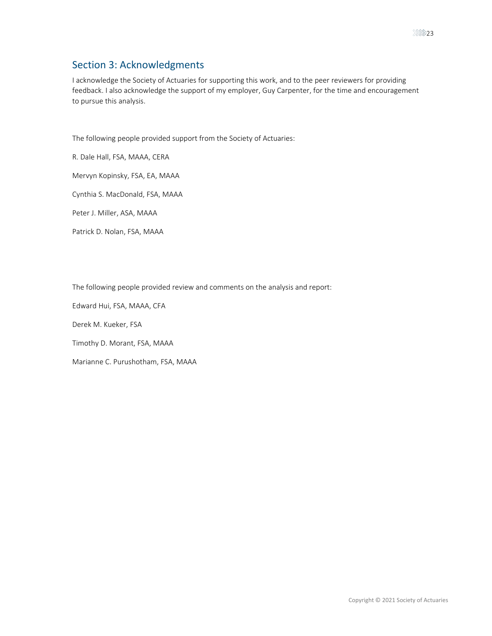## <span id="page-22-0"></span>Section 3: Acknowledgments

I acknowledge the Society of Actuaries for supporting this work, and to the peer reviewers for providing feedback. I also acknowledge the support of my employer, Guy Carpenter, for the time and encouragement to pursue this analysis.

The following people provided support from the Society of Actuaries:

R. Dale Hall, FSA, MAAA, CERA

Mervyn Kopinsky, FSA, EA, MAAA

Cynthia S. MacDonald, FSA, MAAA

Peter J. Miller, ASA, MAAA

Patrick D. Nolan, FSA, MAAA

The following people provided review and comments on the analysis and report:

Edward Hui, FSA, MAAA, CFA

Derek M. Kueker, FSA

Timothy D. Morant, FSA, MAAA

Marianne C. Purushotham, FSA, MAAA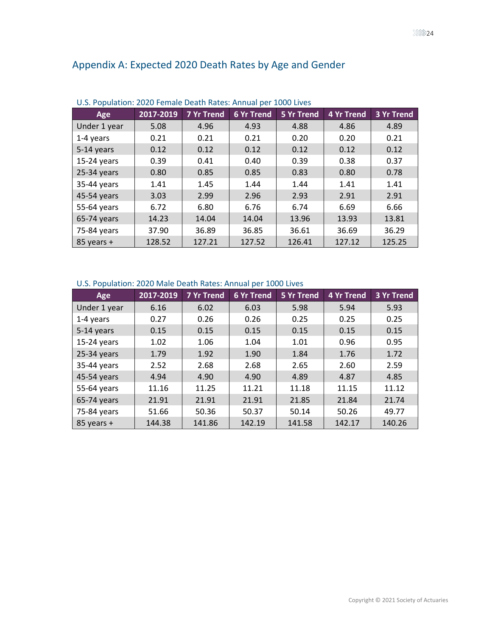| Age           | 2017-2019 | <b>7 Yr Trend</b> | <b>6 Yr Trend</b> | <b>5 Yr Trend</b> | <b>4 Yr Trend</b> | <b>3 Yr Trend</b> |
|---------------|-----------|-------------------|-------------------|-------------------|-------------------|-------------------|
| Under 1 year  | 5.08      | 4.96              | 4.93              | 4.88              | 4.86              | 4.89              |
| 1-4 years     | 0.21      | 0.21              | 0.21              | 0.20              | 0.20              | 0.21              |
| 5-14 years    | 0.12      | 0.12              | 0.12              | 0.12              | 0.12              | 0.12              |
| 15-24 years   | 0.39      | 0.41              | 0.40              | 0.39              | 0.38              | 0.37              |
| $25-34$ years | 0.80      | 0.85              | 0.85              | 0.83              | 0.80              | 0.78              |
| 35-44 years   | 1.41      | 1.45              | 1.44              | 1.44              | 1.41              | 1.41              |
| 45-54 years   | 3.03      | 2.99              | 2.96              | 2.93              | 2.91              | 2.91              |
| 55-64 years   | 6.72      | 6.80              | 6.76              | 6.74              | 6.69              | 6.66              |
| 65-74 years   | 14.23     | 14.04             | 14.04             | 13.96             | 13.93             | 13.81             |
| 75-84 years   | 37.90     | 36.89             | 36.85             | 36.61             | 36.69             | 36.29             |
| 85 years +    | 128.52    | 127.21            | 127.52            | 126.41            | 127.12            | 125.25            |

## <span id="page-23-0"></span>Appendix A: Expected 2020 Death Rates by Age and Gender

#### U.S. Population: 2020 Female Death Rates: Annual per 1000 Lives

### U.S. Population: 2020 Male Death Rates: Annual per 1000 Lives

| Age           | 2017-2019 | <b>7 Yr Trend</b> | <b>6 Yr Trend</b> | 5 Yr Trend | 4 Yr Trend | <b>3 Yr Trend</b> |
|---------------|-----------|-------------------|-------------------|------------|------------|-------------------|
| Under 1 year  | 6.16      | 6.02              | 6.03              | 5.98       | 5.94       | 5.93              |
| 1-4 years     | 0.27      | 0.26              | 0.26              | 0.25       | 0.25       | 0.25              |
| 5-14 years    | 0.15      | 0.15              | 0.15              | 0.15       | 0.15       | 0.15              |
| $15-24$ years | 1.02      | 1.06              | 1.04              | 1.01       | 0.96       | 0.95              |
| $25-34$ years | 1.79      | 1.92              | 1.90              | 1.84       | 1.76       | 1.72              |
| 35-44 years   | 2.52      | 2.68              | 2.68              | 2.65       | 2.60       | 2.59              |
| 45-54 years   | 4.94      | 4.90              | 4.90              | 4.89       | 4.87       | 4.85              |
| 55-64 years   | 11.16     | 11.25             | 11.21             | 11.18      | 11.15      | 11.12             |
| 65-74 years   | 21.91     | 21.91             | 21.91             | 21.85      | 21.84      | 21.74             |
| 75-84 years   | 51.66     | 50.36             | 50.37             | 50.14      | 50.26      | 49.77             |
| 85 years +    | 144.38    | 141.86            | 142.19            | 141.58     | 142.17     | 140.26            |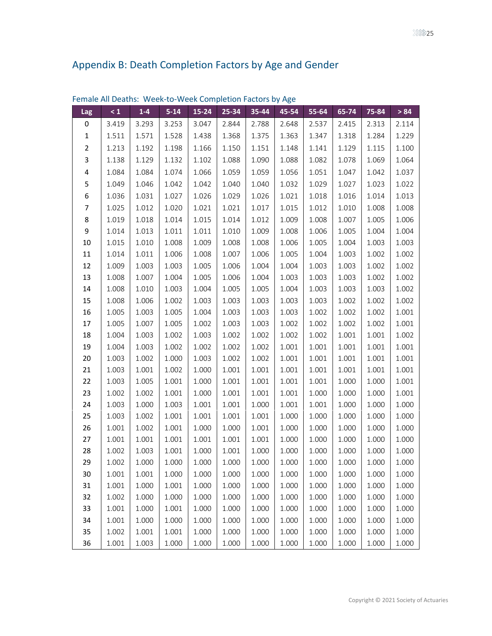## <span id="page-24-0"></span>Appendix B: Death Completion Factors by Age and Gender

|                  | Female All Deaths: Week-to-Week Completion Factors by Age |       |          |           |       |           |       |       |       |       |       |
|------------------|-----------------------------------------------------------|-------|----------|-----------|-------|-----------|-------|-------|-------|-------|-------|
| Lag              | $\leq 1$                                                  | $1-4$ | $5 - 14$ | $15 - 24$ | 25-34 | 35-44     | 45-54 | 55-64 | 65-74 | 75-84 | > 84  |
| 0                | 3.419                                                     | 3.293 | 3.253    | 3.047     | 2.844 | 2.788     | 2.648 | 2.537 | 2.415 | 2.313 | 2.114 |
| $\mathbf{1}$     | 1.511                                                     | 1.571 | 1.528    | 1.438     | 1.368 | 1.375     | 1.363 | 1.347 | 1.318 | 1.284 | 1.229 |
| $\overline{2}$   | 1.213                                                     | 1.192 | 1.198    | 1.166     | 1.150 | 1.151     | 1.148 | 1.141 | 1.129 | 1.115 | 1.100 |
| 3                | 1.138                                                     | 1.129 | 1.132    | 1.102     | 1.088 | 1.090     | 1.088 | 1.082 | 1.078 | 1.069 | 1.064 |
| $\pmb{4}$        | 1.084                                                     | 1.084 | 1.074    | 1.066     | 1.059 | 1.059     | 1.056 | 1.051 | 1.047 | 1.042 | 1.037 |
| 5                | 1.049                                                     | 1.046 | 1.042    | 1.042     | 1.040 | 1.040     | 1.032 | 1.029 | 1.027 | 1.023 | 1.022 |
| $\boldsymbol{6}$ | 1.036                                                     | 1.031 | 1.027    | 1.026     | 1.029 | 1.026     | 1.021 | 1.018 | 1.016 | 1.014 | 1.013 |
| $\overline{7}$   | 1.025                                                     | 1.012 | 1.020    | 1.021     | 1.021 | 1.017     | 1.015 | 1.012 | 1.010 | 1.008 | 1.008 |
| 8                | 1.019                                                     | 1.018 | 1.014    | 1.015     | 1.014 | 1.012     | 1.009 | 1.008 | 1.007 | 1.005 | 1.006 |
| 9                | 1.014                                                     | 1.013 | 1.011    | 1.011     | 1.010 | 1.009     | 1.008 | 1.006 | 1.005 | 1.004 | 1.004 |
| 10               | 1.015                                                     | 1.010 | 1.008    | 1.009     | 1.008 | 1.008     | 1.006 | 1.005 | 1.004 | 1.003 | 1.003 |
| 11               | 1.014                                                     | 1.011 | 1.006    | 1.008     | 1.007 | 1.006     | 1.005 | 1.004 | 1.003 | 1.002 | 1.002 |
| 12               | 1.009                                                     | 1.003 | 1.003    | 1.005     | 1.006 | 1.004     | 1.004 | 1.003 | 1.003 | 1.002 | 1.002 |
| 13               | 1.008                                                     | 1.007 | 1.004    | 1.005     | 1.006 | 1.004     | 1.003 | 1.003 | 1.003 | 1.002 | 1.002 |
| 14               | 1.008                                                     | 1.010 | 1.003    | 1.004     | 1.005 | 1.005     | 1.004 | 1.003 | 1.003 | 1.003 | 1.002 |
| 15               | 1.008                                                     | 1.006 | 1.002    | 1.003     | 1.003 | 1.003     | 1.003 | 1.003 | 1.002 | 1.002 | 1.002 |
| 16               | 1.005                                                     | 1.003 | 1.005    | 1.004     | 1.003 | 1.003     | 1.003 | 1.002 | 1.002 | 1.002 | 1.001 |
| 17               | 1.005                                                     | 1.007 | 1.005    | 1.002     | 1.003 | 1.003     | 1.002 | 1.002 | 1.002 | 1.002 | 1.001 |
| 18               | 1.004                                                     | 1.003 | 1.002    | 1.003     | 1.002 | 1.002     | 1.002 | 1.002 | 1.001 | 1.001 | 1.002 |
| 19               | 1.004                                                     | 1.003 | 1.002    | 1.002     | 1.002 | 1.002     | 1.001 | 1.001 | 1.001 | 1.001 | 1.001 |
| 20               | 1.003                                                     | 1.002 | 1.000    | 1.003     | 1.002 | 1.002     | 1.001 | 1.001 | 1.001 | 1.001 | 1.001 |
| 21               | 1.003                                                     | 1.001 | 1.002    | 1.000     | 1.001 | 1.001     | 1.001 | 1.001 | 1.001 | 1.001 | 1.001 |
| 22               | 1.003                                                     | 1.005 | 1.001    | 1.000     | 1.001 | 1.001     | 1.001 | 1.001 | 1.000 | 1.000 | 1.001 |
| 23               | 1.002                                                     | 1.002 | 1.001    | 1.000     | 1.001 | 1.001     | 1.001 | 1.000 | 1.000 | 1.000 | 1.001 |
| 24               | 1.003                                                     | 1.000 | 1.003    | 1.001     | 1.001 | 1.000     | 1.001 | 1.001 | 1.000 | 1.000 | 1.000 |
| 25               | 1.003                                                     | 1.002 | 1.001    | 1.001     | 1.001 | 1.001     | 1.000 | 1.000 | 1.000 | 1.000 | 1.000 |
| 26               | 1.001                                                     | 1.002 | 1.001    | 1.000     | 1.000 | $1.001\,$ | 1.000 | 1.000 | 1.000 | 1.000 | 1.000 |
| 27               | 1.001                                                     | 1.001 | 1.001    | 1.001     | 1.001 | 1.001     | 1.000 | 1.000 | 1.000 | 1.000 | 1.000 |
| 28               | 1.002                                                     | 1.003 | 1.001    | 1.000     | 1.001 | 1.000     | 1.000 | 1.000 | 1.000 | 1.000 | 1.000 |
| 29               | 1.002                                                     | 1.000 | 1.000    | 1.000     | 1.000 | 1.000     | 1.000 | 1.000 | 1.000 | 1.000 | 1.000 |
| 30               | 1.001                                                     | 1.001 | 1.000    | 1.000     | 1.000 | 1.000     | 1.000 | 1.000 | 1.000 | 1.000 | 1.000 |
| 31               | 1.001                                                     | 1.000 | 1.001    | 1.000     | 1.000 | 1.000     | 1.000 | 1.000 | 1.000 | 1.000 | 1.000 |
| 32               | 1.002                                                     | 1.000 | 1.000    | 1.000     | 1.000 | 1.000     | 1.000 | 1.000 | 1.000 | 1.000 | 1.000 |
| 33               | 1.001                                                     | 1.000 | 1.001    | 1.000     | 1.000 | 1.000     | 1.000 | 1.000 | 1.000 | 1.000 | 1.000 |
| 34               | 1.001                                                     | 1.000 | 1.000    | 1.000     | 1.000 | 1.000     | 1.000 | 1.000 | 1.000 | 1.000 | 1.000 |

35 | 1.002 | 1.001 | 1.001 | 1.000 | 1.000 | 1.000 | 1.000 | 1.000 | 1.000 | 1.000 | 1.000 36 | 1.001 | 1.003 | 1.000 | 1.000 | 1.000 | 1.000 | 1.000 | 1.000 | 1.000 | 1.000 | 1.000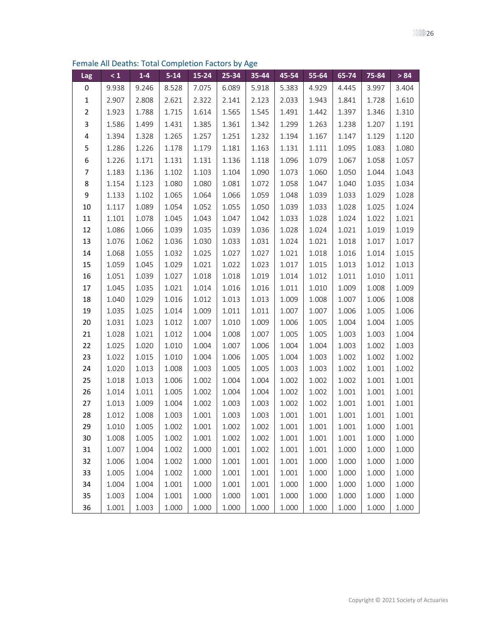| Lag                     | $\leq 1$       | $1-4$          | $5 - 14$       | 15-24          | 25-34          | 35-44          | 45-54          | 55-64          | 65-74          | 75-84          | > 84           |
|-------------------------|----------------|----------------|----------------|----------------|----------------|----------------|----------------|----------------|----------------|----------------|----------------|
| 0                       | 9.938          | 9.246          | 8.528          | 7.075          | 6.089          | 5.918          | 5.383          | 4.929          | 4.445          | 3.997          | 3.404          |
| $\mathbf{1}$            | 2.907          | 2.808          | 2.621          | 2.322          | 2.141          | 2.123          | 2.033          | 1.943          | 1.841          | 1.728          | 1.610          |
| $\overline{2}$          | 1.923          | 1.788          | 1.715          | 1.614          | 1.565          | 1.545          | 1.491          | 1.442          | 1.397          | 1.346          | 1.310          |
| 3                       | 1.586          | 1.499          | 1.431          | 1.385          | 1.361          | 1.342          | 1.299          | 1.263          | 1.238          | 1.207          | 1.191          |
| $\overline{\mathbf{4}}$ | 1.394          | 1.328          | 1.265          | 1.257          | 1.251          | 1.232          | 1.194          | 1.167          | 1.147          | 1.129          | 1.120          |
| 5                       | 1.286          | 1.226          | 1.178          | 1.179          | 1.181          | 1.163          | 1.131          | 1.111          | 1.095          | 1.083          | 1.080          |
| 6                       | 1.226          | 1.171          | 1.131          | 1.131          | 1.136          | 1.118          | 1.096          | 1.079          | 1.067          | 1.058          | 1.057          |
| 7                       | 1.183          | 1.136          | 1.102          | 1.103          | 1.104          | 1.090          | 1.073          | 1.060          | 1.050          | 1.044          | 1.043          |
| 8                       | 1.154          | 1.123          | 1.080          | 1.080          | 1.081          | 1.072          | 1.058          | 1.047          | 1.040          | 1.035          | 1.034          |
| 9                       | 1.133          | 1.102          | 1.065          | 1.064          | 1.066          | 1.059          | 1.048          | 1.039          | 1.033          | 1.029          | 1.028          |
| $10\,$                  | 1.117          | 1.089          | 1.054          | 1.052          | 1.055          | 1.050          | 1.039          | 1.033          | 1.028          | 1.025          | 1.024          |
| $11\,$                  | 1.101          | 1.078          | 1.045          | 1.043          | 1.047          | 1.042          | 1.033          | 1.028          | 1.024          | 1.022          | 1.021          |
| 12                      | 1.086          | 1.066          | 1.039          | 1.035          | 1.039          | 1.036          | 1.028          | 1.024          | 1.021          | 1.019          | 1.019          |
| 13                      | 1.076          | 1.062          | 1.036          | 1.030          | 1.033          | 1.031          | 1.024          | 1.021          | 1.018          | 1.017          | 1.017          |
| 14                      | 1.068          | 1.055          | 1.032          | 1.025          | 1.027          | 1.027          | 1.021          | 1.018          | 1.016          | 1.014          | 1.015          |
| 15                      | 1.059          | 1.045          | 1.029          | 1.021          | 1.022          | 1.023          | 1.017          | 1.015          | 1.013          | 1.012          | 1.013          |
| 16                      | 1.051          | 1.039          | 1.027          | 1.018          | 1.018          | 1.019          | 1.014          | 1.012          | 1.011          | 1.010          | 1.011          |
| 17                      | 1.045          | 1.035          | 1.021          | 1.014          | 1.016          | 1.016          | 1.011          | 1.010          | 1.009          | 1.008          | 1.009          |
| 18                      | 1.040          | 1.029          | 1.016          | 1.012          | 1.013          | 1.013          | 1.009          | 1.008          | 1.007          | 1.006          | 1.008          |
| 19                      | 1.035          | 1.025          | 1.014          | 1.009          | 1.011          | 1.011          | 1.007          | 1.007          | 1.006          | 1.005          | 1.006          |
| 20                      | 1.031          | 1.023          | 1.012          | 1.007          | 1.010          | 1.009          | 1.006          | 1.005          | 1.004          | 1.004          | 1.005          |
| 21                      | 1.028          | 1.021          | 1.012          | 1.004          | 1.008          | 1.007          | 1.005          | 1.005          | 1.003          | 1.003          | 1.004          |
| 22                      | 1.025          | 1.020          | 1.010          | 1.004          | 1.007          | 1.006          | 1.004          | 1.004          | 1.003          | 1.002          | 1.003          |
| 23                      | 1.022          | 1.015          | 1.010          | 1.004          | 1.006          | 1.005          | 1.004          | 1.003          | 1.002          | 1.002          | 1.002          |
| 24                      | 1.020          | 1.013          | 1.008          | 1.003          | 1.005          | 1.005          | 1.003          | 1.003          | 1.002          | 1.001          | 1.002          |
| 25                      | 1.018          | 1.013          | 1.006          | 1.002          | 1.004          | 1.004          | 1.002          | 1.002          | 1.002          | 1.001          | 1.001          |
| 26                      | 1.014          | 1.011          | 1.005          | 1.002          | 1.004          | 1.004          | 1.002          | 1.002          | 1.001          | 1.001          | 1.001          |
| 27                      | 1.013          | 1.009          | 1.004          | 1.002          | 1.003          | 1.003          | 1.002          | 1.002          | 1.001          | 1.001          | 1.001          |
| 28                      | 1.012          | 1.008          | 1.003          | 1.001          | 1.003          | 1.003          | 1.001          | 1.001          | 1.001          | 1.001          | 1.001          |
| 29                      | 1.010          | 1.005          | 1.002          | 1.001          | 1.002          | 1.002          | 1.001          | 1.001          | 1.001          | 1.000          | 1.001          |
| 30                      | 1.008          | 1.005          | 1.002          | 1.001          | 1.002          | 1.002          | 1.001          | 1.001          | 1.001          | 1.000          | 1.000          |
| 31                      | 1.007          | 1.004          | 1.002          | 1.000          | 1.001          | 1.002          | 1.001          | 1.001          | 1.000          | 1.000          | 1.000          |
| 32                      | 1.006          | 1.004          | 1.002          | 1.000          | 1.001          | 1.001          | 1.001          | 1.000          | 1.000          | 1.000          | 1.000          |
| 33                      | 1.005          | 1.004          | 1.002          | 1.000          | 1.001          | 1.001          | 1.001          | 1.000          | 1.000          | 1.000          | 1.000          |
| 34                      | 1.004          | 1.004          | 1.001          | 1.000          | 1.001          | 1.001<br>1.001 | 1.000          | 1.000          | 1.000          | 1.000          | 1.000          |
| 35<br>36                | 1.003<br>1.001 | 1.004<br>1.003 | 1.001<br>1.000 | 1.000<br>1.000 | 1.000<br>1.000 | 1.000          | 1.000<br>1.000 | 1.000<br>1.000 | 1.000<br>1.000 | 1.000<br>1.000 | 1.000<br>1.000 |

### Female All Deaths: Total Completion Factors by Age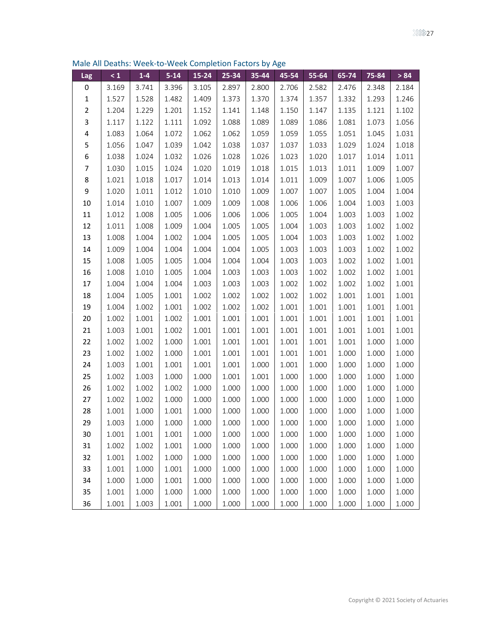| <b>Lag</b>     | $\leq 1$ | $1-4$ | $5 - 14$ | 15-24 | 25-34 | 35-44 | 45-54 | 55-64 | $65 - 74$ | 75-84 | > 84  |
|----------------|----------|-------|----------|-------|-------|-------|-------|-------|-----------|-------|-------|
| 0              | 3.169    | 3.741 | 3.396    | 3.105 | 2.897 | 2.800 | 2.706 | 2.582 | 2.476     | 2.348 | 2.184 |
| $\mathbf{1}$   | 1.527    | 1.528 | 1.482    | 1.409 | 1.373 | 1.370 | 1.374 | 1.357 | 1.332     | 1.293 | 1.246 |
| $\overline{2}$ | 1.204    | 1.229 | 1.201    | 1.152 | 1.141 | 1.148 | 1.150 | 1.147 | 1.135     | 1.121 | 1.102 |
| 3              | 1.117    | 1.122 | 1.111    | 1.092 | 1.088 | 1.089 | 1.089 | 1.086 | 1.081     | 1.073 | 1.056 |
| $\pmb{4}$      | 1.083    | 1.064 | 1.072    | 1.062 | 1.062 | 1.059 | 1.059 | 1.055 | 1.051     | 1.045 | 1.031 |
| 5              | 1.056    | 1.047 | 1.039    | 1.042 | 1.038 | 1.037 | 1.037 | 1.033 | 1.029     | 1.024 | 1.018 |
| 6              | 1.038    | 1.024 | 1.032    | 1.026 | 1.028 | 1.026 | 1.023 | 1.020 | 1.017     | 1.014 | 1.011 |
| $\overline{7}$ | 1.030    | 1.015 | 1.024    | 1.020 | 1.019 | 1.018 | 1.015 | 1.013 | 1.011     | 1.009 | 1.007 |
| 8              | 1.021    | 1.018 | 1.017    | 1.014 | 1.013 | 1.014 | 1.011 | 1.009 | 1.007     | 1.006 | 1.005 |
| 9              | 1.020    | 1.011 | 1.012    | 1.010 | 1.010 | 1.009 | 1.007 | 1.007 | 1.005     | 1.004 | 1.004 |
| 10             | 1.014    | 1.010 | 1.007    | 1.009 | 1.009 | 1.008 | 1.006 | 1.006 | 1.004     | 1.003 | 1.003 |
| 11             | 1.012    | 1.008 | 1.005    | 1.006 | 1.006 | 1.006 | 1.005 | 1.004 | 1.003     | 1.003 | 1.002 |
| 12             | 1.011    | 1.008 | 1.009    | 1.004 | 1.005 | 1.005 | 1.004 | 1.003 | 1.003     | 1.002 | 1.002 |
| 13             | 1.008    | 1.004 | 1.002    | 1.004 | 1.005 | 1.005 | 1.004 | 1.003 | 1.003     | 1.002 | 1.002 |
| 14             | 1.009    | 1.004 | 1.004    | 1.004 | 1.004 | 1.005 | 1.003 | 1.003 | 1.003     | 1.002 | 1.002 |
| 15             | 1.008    | 1.005 | 1.005    | 1.004 | 1.004 | 1.004 | 1.003 | 1.003 | 1.002     | 1.002 | 1.001 |
| 16             | 1.008    | 1.010 | 1.005    | 1.004 | 1.003 | 1.003 | 1.003 | 1.002 | 1.002     | 1.002 | 1.001 |
| 17             | 1.004    | 1.004 | 1.004    | 1.003 | 1.003 | 1.003 | 1.002 | 1.002 | 1.002     | 1.002 | 1.001 |
| 18             | 1.004    | 1.005 | 1.001    | 1.002 | 1.002 | 1.002 | 1.002 | 1.002 | 1.001     | 1.001 | 1.001 |
| 19             | 1.004    | 1.002 | 1.001    | 1.002 | 1.002 | 1.002 | 1.001 | 1.001 | 1.001     | 1.001 | 1.001 |
| 20             | 1.002    | 1.001 | 1.002    | 1.001 | 1.001 | 1.001 | 1.001 | 1.001 | 1.001     | 1.001 | 1.001 |
| 21             | 1.003    | 1.001 | 1.002    | 1.001 | 1.001 | 1.001 | 1.001 | 1.001 | 1.001     | 1.001 | 1.001 |
| 22             | 1.002    | 1.002 | 1.000    | 1.001 | 1.001 | 1.001 | 1.001 | 1.001 | 1.001     | 1.000 | 1.000 |
| 23             | 1.002    | 1.002 | 1.000    | 1.001 | 1.001 | 1.001 | 1.001 | 1.001 | 1.000     | 1.000 | 1.000 |
| 24             | 1.003    | 1.001 | 1.001    | 1.001 | 1.001 | 1.000 | 1.001 | 1.000 | 1.000     | 1.000 | 1.000 |
| 25             | 1.002    | 1.003 | 1.000    | 1.000 | 1.001 | 1.001 | 1.000 | 1.000 | 1.000     | 1.000 | 1.000 |
| 26             | 1.002    | 1.002 | 1.002    | 1.000 | 1.000 | 1.000 | 1.000 | 1.000 | 1.000     | 1.000 | 1.000 |
| 27             | 1.002    | 1.002 | 1.000    | 1.000 | 1.000 | 1.000 | 1.000 | 1.000 | 1.000     | 1.000 | 1.000 |
| 28             | 1.001    | 1.000 | 1.001    | 1.000 | 1.000 | 1.000 | 1.000 | 1.000 | 1.000     | 1.000 | 1.000 |
| 29             | 1.003    | 1.000 | 1.000    | 1.000 | 1.000 | 1.000 | 1.000 | 1.000 | 1.000     | 1.000 | 1.000 |
| 30             | 1.001    | 1.001 | 1.001    | 1.000 | 1.000 | 1.000 | 1.000 | 1.000 | 1.000     | 1.000 | 1.000 |
| 31             | 1.002    | 1.002 | 1.001    | 1.000 | 1.000 | 1.000 | 1.000 | 1.000 | 1.000     | 1.000 | 1.000 |
| 32             | 1.001    | 1.002 | 1.000    | 1.000 | 1.000 | 1.000 | 1.000 | 1.000 | 1.000     | 1.000 | 1.000 |
| 33             | 1.001    | 1.000 | 1.001    | 1.000 | 1.000 | 1.000 | 1.000 | 1.000 | 1.000     | 1.000 | 1.000 |
| 34             | 1.000    | 1.000 | 1.001    | 1.000 | 1.000 | 1.000 | 1.000 | 1.000 | 1.000     | 1.000 | 1.000 |
| 35             | 1.001    | 1.000 | 1.000    | 1.000 | 1.000 | 1.000 | 1.000 | 1.000 | 1.000     | 1.000 | 1.000 |
| 36             | 1.001    | 1.003 | 1.001    | 1.000 | 1.000 | 1.000 | 1.000 | 1.000 | 1.000     | 1.000 | 1.000 |

Male All Deaths: Week-to-Week Completion Factors by Age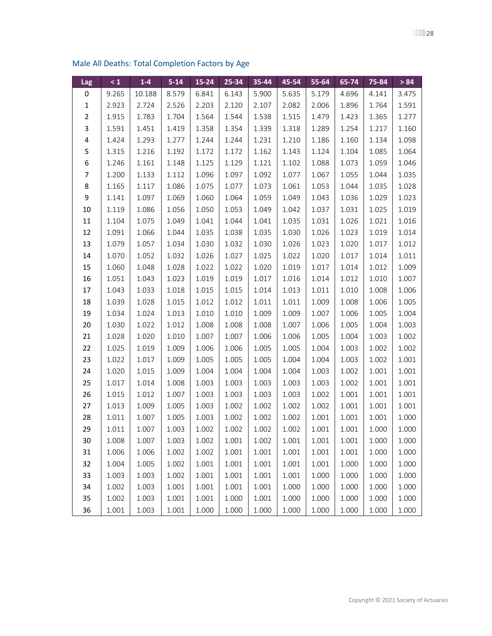| Lag            | $\leq 1$ | $1-4$  | $5 - 14$ | $15 - 24$ | 25-34 | 35-44 | 45-54 | 55-64 | 65-74 | 75-84 | > 84  |
|----------------|----------|--------|----------|-----------|-------|-------|-------|-------|-------|-------|-------|
| 0              | 9.265    | 10.188 | 8.579    | 6.841     | 6.143 | 5.900 | 5.635 | 5.179 | 4.696 | 4.141 | 3.475 |
| $\mathbf{1}$   | 2.923    | 2.724  | 2.526    | 2.203     | 2.120 | 2.107 | 2.082 | 2.006 | 1.896 | 1.764 | 1.591 |
| $\overline{2}$ | 1.915    | 1.783  | 1.704    | 1.564     | 1.544 | 1.538 | 1.515 | 1.479 | 1.423 | 1.365 | 1.277 |
| 3              | 1.591    | 1.451  | 1.419    | 1.358     | 1.354 | 1.339 | 1.318 | 1.289 | 1.254 | 1.217 | 1.160 |
| 4              | 1.424    | 1.293  | 1.277    | 1.244     | 1.244 | 1.231 | 1.210 | 1.186 | 1.160 | 1.134 | 1.098 |
| 5              | 1.315    | 1.216  | 1.192    | 1.172     | 1.172 | 1.162 | 1.143 | 1.124 | 1.104 | 1.085 | 1.064 |
| 6              | 1.246    | 1.161  | 1.148    | 1.125     | 1.129 | 1.121 | 1.102 | 1.088 | 1.073 | 1.059 | 1.046 |
| $\overline{7}$ | 1.200    | 1.133  | 1.112    | 1.096     | 1.097 | 1.092 | 1.077 | 1.067 | 1.055 | 1.044 | 1.035 |
| 8              | 1.165    | 1.117  | 1.086    | 1.075     | 1.077 | 1.073 | 1.061 | 1.053 | 1.044 | 1.035 | 1.028 |
| 9              | 1.141    | 1.097  | 1.069    | 1.060     | 1.064 | 1.059 | 1.049 | 1.043 | 1.036 | 1.029 | 1.023 |
| $10\,$         | 1.119    | 1.086  | 1.056    | 1.050     | 1.053 | 1.049 | 1.042 | 1.037 | 1.031 | 1.025 | 1.019 |
| $11\,$         | 1.104    | 1.075  | 1.049    | 1.041     | 1.044 | 1.041 | 1.035 | 1.031 | 1.026 | 1.021 | 1.016 |
| 12             | 1.091    | 1.066  | 1.044    | 1.035     | 1.038 | 1.035 | 1.030 | 1.026 | 1.023 | 1.019 | 1.014 |
| 13             | 1.079    | 1.057  | 1.034    | 1.030     | 1.032 | 1.030 | 1.026 | 1.023 | 1.020 | 1.017 | 1.012 |
| 14             | 1.070    | 1.052  | 1.032    | 1.026     | 1.027 | 1.025 | 1.022 | 1.020 | 1.017 | 1.014 | 1.011 |
| 15             | 1.060    | 1.048  | 1.028    | 1.022     | 1.022 | 1.020 | 1.019 | 1.017 | 1.014 | 1.012 | 1.009 |
| 16             | 1.051    | 1.043  | 1.023    | 1.019     | 1.019 | 1.017 | 1.016 | 1.014 | 1.012 | 1.010 | 1.007 |
| 17             | 1.043    | 1.033  | 1.018    | 1.015     | 1.015 | 1.014 | 1.013 | 1.011 | 1.010 | 1.008 | 1.006 |
| $18\,$         | 1.039    | 1.028  | 1.015    | 1.012     | 1.012 | 1.011 | 1.011 | 1.009 | 1.008 | 1.006 | 1.005 |
| 19             | 1.034    | 1.024  | 1.013    | 1.010     | 1.010 | 1.009 | 1.009 | 1.007 | 1.006 | 1.005 | 1.004 |
| 20             | 1.030    | 1.022  | 1.012    | 1.008     | 1.008 | 1.008 | 1.007 | 1.006 | 1.005 | 1.004 | 1.003 |
| 21             | 1.028    | 1.020  | 1.010    | 1.007     | 1.007 | 1.006 | 1.006 | 1.005 | 1.004 | 1.003 | 1.002 |
| 22             | 1.025    | 1.019  | 1.009    | 1.006     | 1.006 | 1.005 | 1.005 | 1.004 | 1.003 | 1.002 | 1.002 |
| 23             | 1.022    | 1.017  | 1.009    | 1.005     | 1.005 | 1.005 | 1.004 | 1.004 | 1.003 | 1.002 | 1.001 |
| 24             | 1.020    | 1.015  | 1.009    | 1.004     | 1.004 | 1.004 | 1.004 | 1.003 | 1.002 | 1.001 | 1.001 |
| 25             | 1.017    | 1.014  | 1.008    | 1.003     | 1.003 | 1.003 | 1.003 | 1.003 | 1.002 | 1.001 | 1.001 |
| 26             | 1.015    | 1.012  | 1.007    | 1.003     | 1.003 | 1.003 | 1.003 | 1.002 | 1.001 | 1.001 | 1.001 |
| 27             | 1.013    | 1.009  | 1.005    | 1.003     | 1.002 | 1.002 | 1.002 | 1.002 | 1.001 | 1.001 | 1.001 |
| 28             | 1.011    | 1.007  | 1.005    | 1.003     | 1.002 | 1.002 | 1.002 | 1.001 | 1.001 | 1.001 | 1.000 |
| 29             | 1.011    | 1.007  | 1.003    | 1.002     | 1.002 | 1.002 | 1.002 | 1.001 | 1.001 | 1.000 | 1.000 |
| 30             | 1.008    | 1.007  | 1.003    | 1.002     | 1.001 | 1.002 | 1.001 | 1.001 | 1.001 | 1.000 | 1.000 |
| 31             | 1.006    | 1.006  | 1.002    | 1.002     | 1.001 | 1.001 | 1.001 | 1.001 | 1.001 | 1.000 | 1.000 |
| 32             | 1.004    | 1.005  | 1.002    | 1.001     | 1.001 | 1.001 | 1.001 | 1.001 | 1.000 | 1.000 | 1.000 |
| 33             | 1.003    | 1.003  | 1.002    | 1.001     | 1.001 | 1.001 | 1.001 | 1.000 | 1.000 | 1.000 | 1.000 |
| 34             | 1.002    | 1.003  | 1.001    | 1.001     | 1.001 | 1.001 | 1.000 | 1.000 | 1.000 | 1.000 | 1.000 |
| 35             | 1.002    | 1.003  | 1.001    | 1.001     | 1.000 | 1.001 | 1.000 | 1.000 | 1.000 | 1.000 | 1.000 |
| 36             | 1.001    | 1.003  | 1.001    | 1.000     | 1.000 | 1.000 | 1.000 | 1.000 | 1.000 | 1.000 | 1.000 |

## Male All Deaths: Total Completion Factors by Age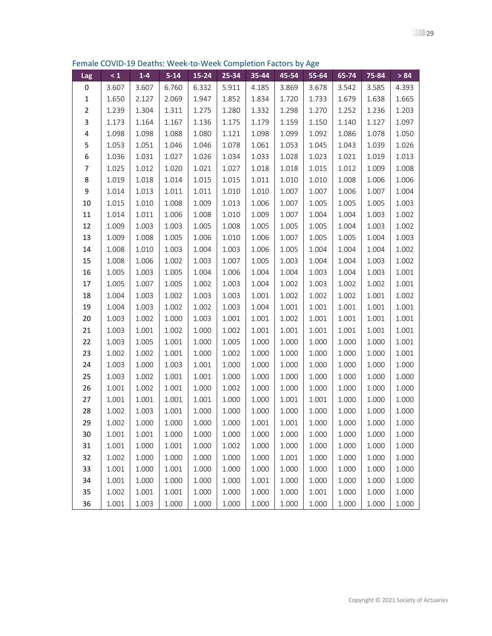| <b>Lag</b>     | $\leq 1$ | $1-4$ | $5 - 14$ | 15-24     | 25-34 | 35-44 | 45-54 | $55 - 64$ | $65 - 74$ | 75-84 | > 84  |
|----------------|----------|-------|----------|-----------|-------|-------|-------|-----------|-----------|-------|-------|
| 0              | 3.607    | 3.607 | 6.760    | 6.332     | 5.911 | 4.185 | 3.869 | 3.678     | 3.542     | 3.585 | 4.393 |
| $\mathbf{1}$   | 1.650    | 2.127 | 2.069    | 1.947     | 1.852 | 1.834 | 1.720 | 1.733     | 1.679     | 1.638 | 1.665 |
| $\overline{2}$ | 1.239    | 1.304 | 1.311    | 1.275     | 1.280 | 1.332 | 1.298 | 1.270     | 1.252     | 1.236 | 1.203 |
| 3              | 1.173    | 1.164 | 1.167    | 1.136     | 1.175 | 1.179 | 1.159 | 1.150     | 1.140     | 1.127 | 1.097 |
| 4              | 1.098    | 1.098 | 1.088    | 1.080     | 1.121 | 1.098 | 1.099 | 1.092     | 1.086     | 1.078 | 1.050 |
| 5              | 1.053    | 1.051 | 1.046    | 1.046     | 1.078 | 1.061 | 1.053 | 1.045     | 1.043     | 1.039 | 1.026 |
| 6              | 1.036    | 1.031 | 1.027    | 1.026     | 1.034 | 1.033 | 1.028 | 1.023     | 1.021     | 1.019 | 1.013 |
| $\overline{7}$ | 1.025    | 1.012 | 1.020    | 1.021     | 1.027 | 1.018 | 1.018 | 1.015     | 1.012     | 1.009 | 1.008 |
| 8              | 1.019    | 1.018 | 1.014    | 1.015     | 1.015 | 1.011 | 1.010 | 1.010     | 1.008     | 1.006 | 1.006 |
| 9              | 1.014    | 1.013 | 1.011    | 1.011     | 1.010 | 1.010 | 1.007 | 1.007     | 1.006     | 1.007 | 1.004 |
| $10\,$         | 1.015    | 1.010 | 1.008    | 1.009     | 1.013 | 1.006 | 1.007 | 1.005     | 1.005     | 1.005 | 1.003 |
| $11\,$         | 1.014    | 1.011 | 1.006    | 1.008     | 1.010 | 1.009 | 1.007 | 1.004     | 1.004     | 1.003 | 1.002 |
| 12             | 1.009    | 1.003 | 1.003    | 1.005     | 1.008 | 1.005 | 1.005 | 1.005     | 1.004     | 1.003 | 1.002 |
| 13             | 1.009    | 1.008 | 1.005    | 1.006     | 1.010 | 1.006 | 1.007 | 1.005     | 1.005     | 1.004 | 1.003 |
| 14             | 1.008    | 1.010 | 1.003    | 1.004     | 1.003 | 1.006 | 1.005 | 1.004     | 1.004     | 1.004 | 1.002 |
| 15             | 1.008    | 1.006 | 1.002    | 1.003     | 1.007 | 1.005 | 1.003 | 1.004     | 1.004     | 1.003 | 1.002 |
| 16             | 1.005    | 1.003 | 1.005    | 1.004     | 1.006 | 1.004 | 1.004 | 1.003     | 1.004     | 1.003 | 1.001 |
| 17             | 1.005    | 1.007 | 1.005    | 1.002     | 1.003 | 1.004 | 1.002 | 1.003     | 1.002     | 1.002 | 1.001 |
| 18             | 1.004    | 1.003 | 1.002    | 1.003     | 1.003 | 1.001 | 1.002 | 1.002     | 1.002     | 1.001 | 1.002 |
| 19             | 1.004    | 1.003 | 1.002    | 1.002     | 1.003 | 1.004 | 1.001 | 1.001     | 1.001     | 1.001 | 1.001 |
| 20             | 1.003    | 1.002 | 1.000    | 1.003     | 1.001 | 1.001 | 1.002 | 1.001     | 1.001     | 1.001 | 1.001 |
| 21             | 1.003    | 1.001 | 1.002    | 1.000     | 1.002 | 1.001 | 1.001 | 1.001     | 1.001     | 1.001 | 1.001 |
| 22             | 1.003    | 1.005 | 1.001    | 1.000     | 1.005 | 1.000 | 1.000 | 1.000     | 1.000     | 1.000 | 1.001 |
| 23             | 1.002    | 1.002 | 1.001    | 1.000     | 1.002 | 1.000 | 1.000 | 1.000     | 1.000     | 1.000 | 1.001 |
| 24             | 1.003    | 1.000 | 1.003    | 1.001     | 1.000 | 1.000 | 1.000 | 1.000     | 1.000     | 1.000 | 1.000 |
| 25             | 1.003    | 1.002 | 1.001    | 1.001     | 1.000 | 1.000 | 1.000 | 1.000     | 1.000     | 1.000 | 1.000 |
| 26             | 1.001    | 1.002 | 1.001    | 1.000     | 1.002 | 1.000 | 1.000 | 1.000     | 1.000     | 1.000 | 1.000 |
| 27             | 1.001    | 1.001 | 1.001    | $1.001\,$ | 1.000 | 1.000 | 1.001 | 1.001     | 1.000     | 1.000 | 1.000 |
| 28             | 1.002    | 1.003 | 1.001    | 1.000     | 1.000 | 1.000 | 1.000 | 1.000     | 1.000     | 1.000 | 1.000 |
| 29             | 1.002    | 1.000 | 1.000    | 1.000     | 1.000 | 1.001 | 1.001 | 1.000     | 1.000     | 1.000 | 1.000 |
| 30             | 1.001    | 1.001 | 1.000    | 1.000     | 1.000 | 1.000 | 1.000 | 1.000     | 1.000     | 1.000 | 1.000 |
| 31             | 1.001    | 1.000 | 1.001    | 1.000     | 1.002 | 1.000 | 1.000 | 1.000     | 1.000     | 1.000 | 1.000 |
| 32             | 1.002    | 1.000 | 1.000    | 1.000     | 1.000 | 1.000 | 1.001 | 1.000     | 1.000     | 1.000 | 1.000 |
| 33             | 1.001    | 1.000 | 1.001    | 1.000     | 1.000 | 1.000 | 1.000 | 1.000     | 1.000     | 1.000 | 1.000 |
| 34             | 1.001    | 1.000 | 1.000    | 1.000     | 1.000 | 1.001 | 1.000 | 1.000     | 1.000     | 1.000 | 1.000 |
| 35             | 1.002    | 1.001 | 1.001    | 1.000     | 1.000 | 1.000 | 1.000 | 1.001     | 1.000     | 1.000 | 1.000 |
| 36             | 1.001    | 1.003 | 1.000    | 1.000     | 1.000 | 1.000 | 1.000 | 1.000     | 1.000     | 1.000 | 1.000 |

Female COVID-19 Deaths: Week-to-Week Completion Factors by Age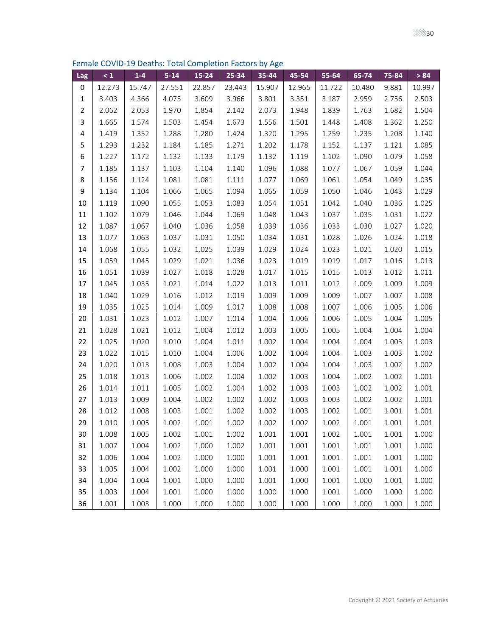| Lag            | $\leq 1$ | $1-4$  | $5 - 14$ | 15-24  | 25-34  | 35-44  | 45-54  | 55-64  | 65-74  | $75 - 84$ | > 84   |
|----------------|----------|--------|----------|--------|--------|--------|--------|--------|--------|-----------|--------|
| 0              | 12.273   | 15.747 | 27.551   | 22.857 | 23.443 | 15.907 | 12.965 | 11.722 | 10.480 | 9.881     | 10.997 |
| $\mathbf{1}$   | 3.403    | 4.366  | 4.075    | 3.609  | 3.966  | 3.801  | 3.351  | 3.187  | 2.959  | 2.756     | 2.503  |
| $\overline{2}$ | 2.062    | 2.053  | 1.970    | 1.854  | 2.142  | 2.073  | 1.948  | 1.839  | 1.763  | 1.682     | 1.504  |
| 3              | 1.665    | 1.574  | 1.503    | 1.454  | 1.673  | 1.556  | 1.501  | 1.448  | 1.408  | 1.362     | 1.250  |
| 4              | 1.419    | 1.352  | 1.288    | 1.280  | 1.424  | 1.320  | 1.295  | 1.259  | 1.235  | 1.208     | 1.140  |
| 5              | 1.293    | 1.232  | 1.184    | 1.185  | 1.271  | 1.202  | 1.178  | 1.152  | 1.137  | 1.121     | 1.085  |
| 6              | 1.227    | 1.172  | 1.132    | 1.133  | 1.179  | 1.132  | 1.119  | 1.102  | 1.090  | 1.079     | 1.058  |
| 7              | 1.185    | 1.137  | 1.103    | 1.104  | 1.140  | 1.096  | 1.088  | 1.077  | 1.067  | 1.059     | 1.044  |
| 8              | 1.156    | 1.124  | 1.081    | 1.081  | 1.111  | 1.077  | 1.069  | 1.061  | 1.054  | 1.049     | 1.035  |
| 9              | 1.134    | 1.104  | 1.066    | 1.065  | 1.094  | 1.065  | 1.059  | 1.050  | 1.046  | 1.043     | 1.029  |
| 10             | 1.119    | 1.090  | 1.055    | 1.053  | 1.083  | 1.054  | 1.051  | 1.042  | 1.040  | 1.036     | 1.025  |
| 11             | 1.102    | 1.079  | 1.046    | 1.044  | 1.069  | 1.048  | 1.043  | 1.037  | 1.035  | 1.031     | 1.022  |
| 12             | 1.087    | 1.067  | 1.040    | 1.036  | 1.058  | 1.039  | 1.036  | 1.033  | 1.030  | 1.027     | 1.020  |
| 13             | 1.077    | 1.063  | 1.037    | 1.031  | 1.050  | 1.034  | 1.031  | 1.028  | 1.026  | 1.024     | 1.018  |
| 14             | 1.068    | 1.055  | 1.032    | 1.025  | 1.039  | 1.029  | 1.024  | 1.023  | 1.021  | 1.020     | 1.015  |
| 15             | 1.059    | 1.045  | 1.029    | 1.021  | 1.036  | 1.023  | 1.019  | 1.019  | 1.017  | 1.016     | 1.013  |
| 16             | 1.051    | 1.039  | 1.027    | 1.018  | 1.028  | 1.017  | 1.015  | 1.015  | 1.013  | 1.012     | 1.011  |
| 17             | 1.045    | 1.035  | 1.021    | 1.014  | 1.022  | 1.013  | 1.011  | 1.012  | 1.009  | 1.009     | 1.009  |
| 18             | 1.040    | 1.029  | 1.016    | 1.012  | 1.019  | 1.009  | 1.009  | 1.009  | 1.007  | 1.007     | 1.008  |
| 19             | 1.035    | 1.025  | 1.014    | 1.009  | 1.017  | 1.008  | 1.008  | 1.007  | 1.006  | 1.005     | 1.006  |
| 20             | 1.031    | 1.023  | 1.012    | 1.007  | 1.014  | 1.004  | 1.006  | 1.006  | 1.005  | 1.004     | 1.005  |
| 21             | 1.028    | 1.021  | 1.012    | 1.004  | 1.012  | 1.003  | 1.005  | 1.005  | 1.004  | 1.004     | 1.004  |
| 22             | 1.025    | 1.020  | 1.010    | 1.004  | 1.011  | 1.002  | 1.004  | 1.004  | 1.004  | 1.003     | 1.003  |
| 23             | 1.022    | 1.015  | 1.010    | 1.004  | 1.006  | 1.002  | 1.004  | 1.004  | 1.003  | 1.003     | 1.002  |
| 24             | 1.020    | 1.013  | 1.008    | 1.003  | 1.004  | 1.002  | 1.004  | 1.004  | 1.003  | 1.002     | 1.002  |
| 25             | 1.018    | 1.013  | 1.006    | 1.002  | 1.004  | 1.002  | 1.003  | 1.004  | 1.002  | 1.002     | 1.001  |
| 26             | 1.014    | 1.011  | 1.005    | 1.002  | 1.004  | 1.002  | 1.003  | 1.003  | 1.002  | 1.002     | 1.001  |
| 27             | 1.013    | 1.009  | 1.004    | 1.002  | 1.002  | 1.002  | 1.003  | 1.003  | 1.002  | 1.002     | 1.001  |
| 28             | 1.012    | 1.008  | 1.003    | 1.001  | 1.002  | 1.002  | 1.003  | 1.002  | 1.001  | 1.001     | 1.001  |
| 29             | 1.010    | 1.005  | 1.002    | 1.001  | 1.002  | 1.002  | 1.002  | 1.002  | 1.001  | 1.001     | 1.001  |
| 30             | 1.008    | 1.005  | 1.002    | 1.001  | 1.002  | 1.001  | 1.001  | 1.002  | 1.001  | 1.001     | 1.000  |
| 31             | 1.007    | 1.004  | 1.002    | 1.000  | 1.002  | 1.001  | 1.001  | 1.001  | 1.001  | 1.001     | 1.000  |
| 32             | 1.006    | 1.004  | 1.002    | 1.000  | 1.000  | 1.001  | 1.001  | 1.001  | 1.001  | 1.001     | 1.000  |
| 33             | 1.005    | 1.004  | 1.002    | 1.000  | 1.000  | 1.001  | 1.000  | 1.001  | 1.001  | 1.001     | 1.000  |
| 34             | 1.004    | 1.004  | 1.001    | 1.000  | 1.000  | 1.001  | 1.000  | 1.001  | 1.000  | 1.001     | 1.000  |
| 35             | 1.003    | 1.004  | 1.001    | 1.000  | 1.000  | 1.000  | 1.000  | 1.001  | 1.000  | 1.000     | 1.000  |
| 36             | 1.001    | 1.003  | 1.000    | 1.000  | 1.000  | 1.000  | 1.000  | 1.000  | 1.000  | 1.000     | 1.000  |

#### Female COVID-19 Deaths: Total Completion Factors by Age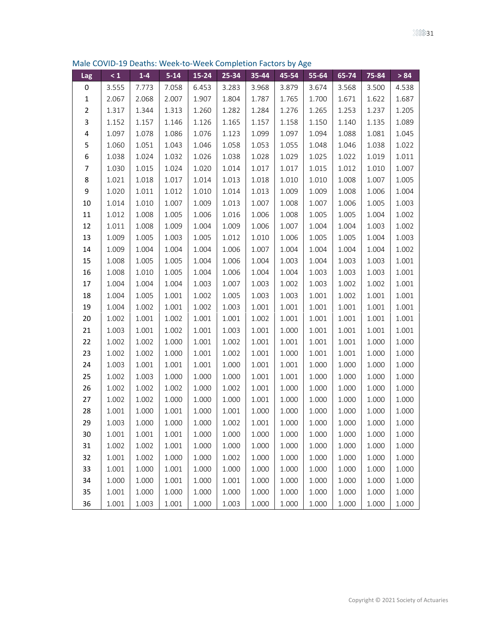| Lag                     | $\leq 1$ | $1-4$ | $5 - 14$ | 15-24 | 25-34 | 35-44 | 45-54 | 55-64 | $65 - 74$ | 75-84 | > 84  |
|-------------------------|----------|-------|----------|-------|-------|-------|-------|-------|-----------|-------|-------|
| 0                       | 3.555    | 7.773 | 7.058    | 6.453 | 3.283 | 3.968 | 3.879 | 3.674 | 3.568     | 3.500 | 4.538 |
| $\mathbf{1}$            | 2.067    | 2.068 | 2.007    | 1.907 | 1.804 | 1.787 | 1.765 | 1.700 | 1.671     | 1.622 | 1.687 |
| $\overline{2}$          | 1.317    | 1.344 | 1.313    | 1.260 | 1.282 | 1.284 | 1.276 | 1.265 | 1.253     | 1.237 | 1.205 |
| 3                       | 1.152    | 1.157 | 1.146    | 1.126 | 1.165 | 1.157 | 1.158 | 1.150 | 1.140     | 1.135 | 1.089 |
| $\overline{\mathbf{4}}$ | 1.097    | 1.078 | 1.086    | 1.076 | 1.123 | 1.099 | 1.097 | 1.094 | 1.088     | 1.081 | 1.045 |
| 5                       | 1.060    | 1.051 | 1.043    | 1.046 | 1.058 | 1.053 | 1.055 | 1.048 | 1.046     | 1.038 | 1.022 |
| 6                       | 1.038    | 1.024 | 1.032    | 1.026 | 1.038 | 1.028 | 1.029 | 1.025 | 1.022     | 1.019 | 1.011 |
| $\overline{7}$          | 1.030    | 1.015 | 1.024    | 1.020 | 1.014 | 1.017 | 1.017 | 1.015 | 1.012     | 1.010 | 1.007 |
| 8                       | 1.021    | 1.018 | 1.017    | 1.014 | 1.013 | 1.018 | 1.010 | 1.010 | 1.008     | 1.007 | 1.005 |
| 9                       | 1.020    | 1.011 | 1.012    | 1.010 | 1.014 | 1.013 | 1.009 | 1.009 | 1.008     | 1.006 | 1.004 |
| $10\,$                  | 1.014    | 1.010 | 1.007    | 1.009 | 1.013 | 1.007 | 1.008 | 1.007 | 1.006     | 1.005 | 1.003 |
| 11                      | 1.012    | 1.008 | 1.005    | 1.006 | 1.016 | 1.006 | 1.008 | 1.005 | 1.005     | 1.004 | 1.002 |
| 12                      | 1.011    | 1.008 | 1.009    | 1.004 | 1.009 | 1.006 | 1.007 | 1.004 | 1.004     | 1.003 | 1.002 |
| 13                      | 1.009    | 1.005 | 1.003    | 1.005 | 1.012 | 1.010 | 1.006 | 1.005 | 1.005     | 1.004 | 1.003 |
| 14                      | 1.009    | 1.004 | 1.004    | 1.004 | 1.006 | 1.007 | 1.004 | 1.004 | 1.004     | 1.004 | 1.002 |
| 15                      | 1.008    | 1.005 | 1.005    | 1.004 | 1.006 | 1.004 | 1.003 | 1.004 | 1.003     | 1.003 | 1.001 |
| 16                      | 1.008    | 1.010 | 1.005    | 1.004 | 1.006 | 1.004 | 1.004 | 1.003 | 1.003     | 1.003 | 1.001 |
| 17                      | 1.004    | 1.004 | 1.004    | 1.003 | 1.007 | 1.003 | 1.002 | 1.003 | 1.002     | 1.002 | 1.001 |
| 18                      | 1.004    | 1.005 | 1.001    | 1.002 | 1.005 | 1.003 | 1.003 | 1.001 | 1.002     | 1.001 | 1.001 |
| 19                      | 1.004    | 1.002 | 1.001    | 1.002 | 1.003 | 1.001 | 1.001 | 1.001 | 1.001     | 1.001 | 1.001 |
| 20                      | 1.002    | 1.001 | 1.002    | 1.001 | 1.001 | 1.002 | 1.001 | 1.001 | 1.001     | 1.001 | 1.001 |
| 21                      | 1.003    | 1.001 | 1.002    | 1.001 | 1.003 | 1.001 | 1.000 | 1.001 | 1.001     | 1.001 | 1.001 |
| 22                      | 1.002    | 1.002 | 1.000    | 1.001 | 1.002 | 1.001 | 1.001 | 1.001 | 1.001     | 1.000 | 1.000 |
| 23                      | 1.002    | 1.002 | 1.000    | 1.001 | 1.002 | 1.001 | 1.000 | 1.001 | 1.001     | 1.000 | 1.000 |
| 24                      | 1.003    | 1.001 | 1.001    | 1.001 | 1.000 | 1.001 | 1.001 | 1.000 | 1.000     | 1.000 | 1.000 |
| 25                      | 1.002    | 1.003 | 1.000    | 1.000 | 1.000 | 1.001 | 1.001 | 1.000 | 1.000     | 1.000 | 1.000 |
| 26                      | 1.002    | 1.002 | 1.002    | 1.000 | 1.002 | 1.001 | 1.000 | 1.000 | 1.000     | 1.000 | 1.000 |
| 27                      | 1.002    | 1.002 | 1.000    | 1.000 | 1.000 | 1.001 | 1.000 | 1.000 | 1.000     | 1.000 | 1.000 |
| 28                      | 1.001    | 1.000 | 1.001    | 1.000 | 1.001 | 1.000 | 1.000 | 1.000 | 1.000     | 1.000 | 1.000 |
| 29                      | 1.003    | 1.000 | 1.000    | 1.000 | 1.002 | 1.001 | 1.000 | 1.000 | 1.000     | 1.000 | 1.000 |
| 30                      | 1.001    | 1.001 | 1.001    | 1.000 | 1.000 | 1.000 | 1.000 | 1.000 | 1.000     | 1.000 | 1.000 |
| 31                      | 1.002    | 1.002 | 1.001    | 1.000 | 1.000 | 1.000 | 1.000 | 1.000 | 1.000     | 1.000 | 1.000 |
| 32                      | 1.001    | 1.002 | 1.000    | 1.000 | 1.002 | 1.000 | 1.000 | 1.000 | 1.000     | 1.000 | 1.000 |
| 33                      | 1.001    | 1.000 | 1.001    | 1.000 | 1.000 | 1.000 | 1.000 | 1.000 | 1.000     | 1.000 | 1.000 |
| 34                      | 1.000    | 1.000 | 1.001    | 1.000 | 1.001 | 1.000 | 1.000 | 1.000 | 1.000     | 1.000 | 1.000 |
| 35                      | 1.001    | 1.000 | 1.000    | 1.000 | 1.000 | 1.000 | 1.000 | 1.000 | 1.000     | 1.000 | 1.000 |
| 36                      | 1.001    | 1.003 | 1.001    | 1.000 | 1.003 | 1.000 | 1.000 | 1.000 | 1.000     | 1.000 | 1.000 |

#### Male COVID-19 Deaths: Week-to-Week Completion Factors by Age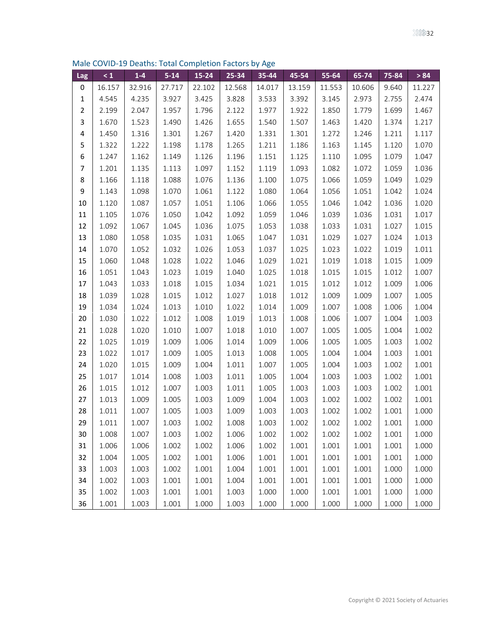| Lag            | $\leq 1$ | $1-4$  | $5 - 14$ | 15-24  | 25-34  | 35-44  | 45-54  | 55-64  | 65-74  | 75-84 | > 84   |
|----------------|----------|--------|----------|--------|--------|--------|--------|--------|--------|-------|--------|
| 0              | 16.157   | 32.916 | 27.717   | 22.102 | 12.568 | 14.017 | 13.159 | 11.553 | 10.606 | 9.640 | 11.227 |
| 1              | 4.545    | 4.235  | 3.927    | 3.425  | 3.828  | 3.533  | 3.392  | 3.145  | 2.973  | 2.755 | 2.474  |
| $\overline{2}$ | 2.199    | 2.047  | 1.957    | 1.796  | 2.122  | 1.977  | 1.922  | 1.850  | 1.779  | 1.699 | 1.467  |
| 3              | 1.670    | 1.523  | 1.490    | 1.426  | 1.655  | 1.540  | 1.507  | 1.463  | 1.420  | 1.374 | 1.217  |
| 4              | 1.450    | 1.316  | 1.301    | 1.267  | 1.420  | 1.331  | 1.301  | 1.272  | 1.246  | 1.211 | 1.117  |
| 5              | 1.322    | 1.222  | 1.198    | 1.178  | 1.265  | 1.211  | 1.186  | 1.163  | 1.145  | 1.120 | 1.070  |
| 6              | 1.247    | 1.162  | 1.149    | 1.126  | 1.196  | 1.151  | 1.125  | 1.110  | 1.095  | 1.079 | 1.047  |
| $\overline{7}$ | 1.201    | 1.135  | 1.113    | 1.097  | 1.152  | 1.119  | 1.093  | 1.082  | 1.072  | 1.059 | 1.036  |
| 8              | 1.166    | 1.118  | 1.088    | 1.076  | 1.136  | 1.100  | 1.075  | 1.066  | 1.059  | 1.049 | 1.029  |
| 9              | 1.143    | 1.098  | 1.070    | 1.061  | 1.122  | 1.080  | 1.064  | 1.056  | 1.051  | 1.042 | 1.024  |
| 10             | 1.120    | 1.087  | 1.057    | 1.051  | 1.106  | 1.066  | 1.055  | 1.046  | 1.042  | 1.036 | 1.020  |
| 11             | 1.105    | 1.076  | 1.050    | 1.042  | 1.092  | 1.059  | 1.046  | 1.039  | 1.036  | 1.031 | 1.017  |
| 12             | 1.092    | 1.067  | 1.045    | 1.036  | 1.075  | 1.053  | 1.038  | 1.033  | 1.031  | 1.027 | 1.015  |
| 13             | 1.080    | 1.058  | 1.035    | 1.031  | 1.065  | 1.047  | 1.031  | 1.029  | 1.027  | 1.024 | 1.013  |
| 14             | 1.070    | 1.052  | 1.032    | 1.026  | 1.053  | 1.037  | 1.025  | 1.023  | 1.022  | 1.019 | 1.011  |
| 15             | 1.060    | 1.048  | 1.028    | 1.022  | 1.046  | 1.029  | 1.021  | 1.019  | 1.018  | 1.015 | 1.009  |
| 16             | 1.051    | 1.043  | 1.023    | 1.019  | 1.040  | 1.025  | 1.018  | 1.015  | 1.015  | 1.012 | 1.007  |
| 17             | 1.043    | 1.033  | 1.018    | 1.015  | 1.034  | 1.021  | 1.015  | 1.012  | 1.012  | 1.009 | 1.006  |
| 18             | 1.039    | 1.028  | 1.015    | 1.012  | 1.027  | 1.018  | 1.012  | 1.009  | 1.009  | 1.007 | 1.005  |
| 19             | 1.034    | 1.024  | 1.013    | 1.010  | 1.022  | 1.014  | 1.009  | 1.007  | 1.008  | 1.006 | 1.004  |
| 20             | 1.030    | 1.022  | 1.012    | 1.008  | 1.019  | 1.013  | 1.008  | 1.006  | 1.007  | 1.004 | 1.003  |
| 21             | 1.028    | 1.020  | 1.010    | 1.007  | 1.018  | 1.010  | 1.007  | 1.005  | 1.005  | 1.004 | 1.002  |
| 22             | 1.025    | 1.019  | 1.009    | 1.006  | 1.014  | 1.009  | 1.006  | 1.005  | 1.005  | 1.003 | 1.002  |
| 23             | 1.022    | 1.017  | 1.009    | 1.005  | 1.013  | 1.008  | 1.005  | 1.004  | 1.004  | 1.003 | 1.001  |
| 24             | 1.020    | 1.015  | 1.009    | 1.004  | 1.011  | 1.007  | 1.005  | 1.004  | 1.003  | 1.002 | 1.001  |
| 25             | 1.017    | 1.014  | 1.008    | 1.003  | 1.011  | 1.005  | 1.004  | 1.003  | 1.003  | 1.002 | 1.001  |
| 26             | 1.015    | 1.012  | 1.007    | 1.003  | 1.011  | 1.005  | 1.003  | 1.003  | 1.003  | 1.002 | 1.001  |
| 27             | 1.013    | 1.009  | 1.005    | 1.003  | 1.009  | 1.004  | 1.003  | 1.002  | 1.002  | 1.002 | 1.001  |
| 28             | 1.011    | 1.007  | 1.005    | 1.003  | 1.009  | 1.003  | 1.003  | 1.002  | 1.002  | 1.001 | 1.000  |
| 29             | 1.011    | 1.007  | 1.003    | 1.002  | 1.008  | 1.003  | 1.002  | 1.002  | 1.002  | 1.001 | 1.000  |
| 30             | 1.008    | 1.007  | 1.003    | 1.002  | 1.006  | 1.002  | 1.002  | 1.002  | 1.002  | 1.001 | 1.000  |
| 31             | 1.006    | 1.006  | 1.002    | 1.002  | 1.006  | 1.002  | 1.001  | 1.001  | 1.001  | 1.001 | 1.000  |
| 32             | 1.004    | 1.005  | 1.002    | 1.001  | 1.006  | 1.001  | 1.001  | 1.001  | 1.001  | 1.001 | 1.000  |
| 33             | 1.003    | 1.003  | 1.002    | 1.001  | 1.004  | 1.001  | 1.001  | 1.001  | 1.001  | 1.000 | 1.000  |
| 34             | 1.002    | 1.003  | 1.001    | 1.001  | 1.004  | 1.001  | 1.001  | 1.001  | 1.001  | 1.000 | 1.000  |
| 35             | 1.002    | 1.003  | 1.001    | 1.001  | 1.003  | 1.000  | 1.000  | 1.001  | 1.001  | 1.000 | 1.000  |
| 36             | 1.001    | 1.003  | 1.001    | 1.000  | 1.003  | 1.000  | 1.000  | 1.000  | 1.000  | 1.000 | 1.000  |

Male COVID-19 Deaths: Total Completion Factors by Age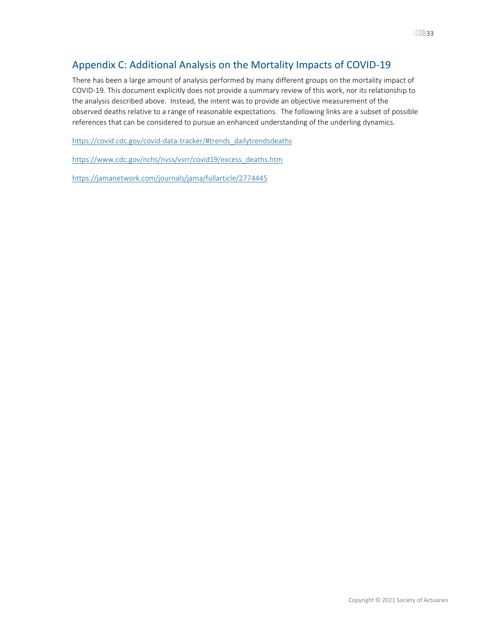## <span id="page-32-0"></span>Appendix C: Additional Analysis on the Mortality Impacts of COVID-19

There has been a large amount of analysis performed by many different groups on the mortality impact of COVID-19. This document explicitly does not provide a summary review of this work, nor its relationship to the analysis described above. Instead, the intent was to provide an objective measurement of the observed deaths relative to a range of reasonable expectations. The following links are a subset of possible references that can be considered to pursue an enhanced understanding of the underling dynamics.

[https://covid.cdc.gov/covid-data-tracker/#trends\\_dailytrendsdeaths](https://covid.cdc.gov/covid-data-tracker/#trends_dailytrendsdeaths)

[https://www.cdc.gov/nchs/nvss/vsrr/covid19/excess\\_deaths.htm](https://www.cdc.gov/nchs/nvss/vsrr/covid19/excess_deaths.htm)

<https://jamanetwork.com/journals/jama/fullarticle/2774445>